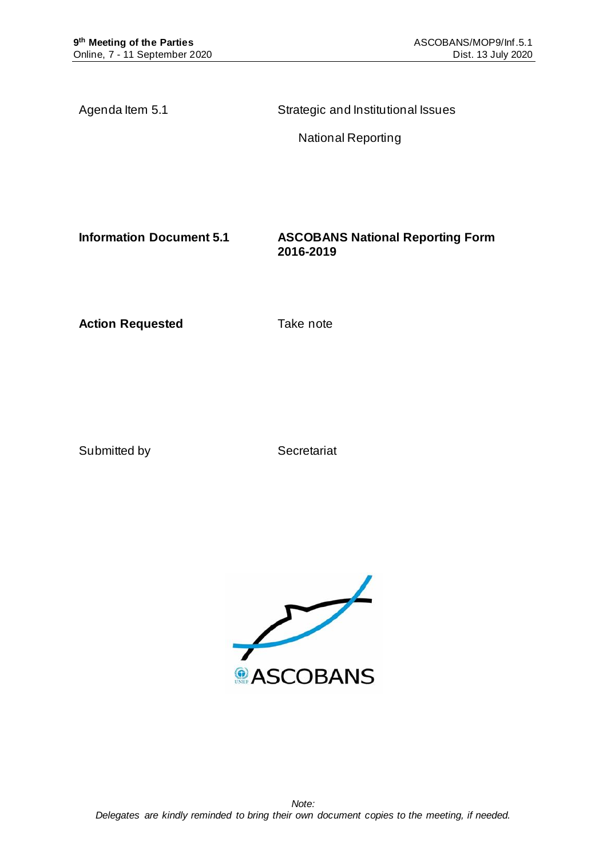Agenda Item 5.1 Strategic and Institutional Issues

National Reporting

**Information Document 5.1 ASCOBANS National Reporting Form 2016-2019**

**Action Requested Take note** 

Submitted by Secretariat

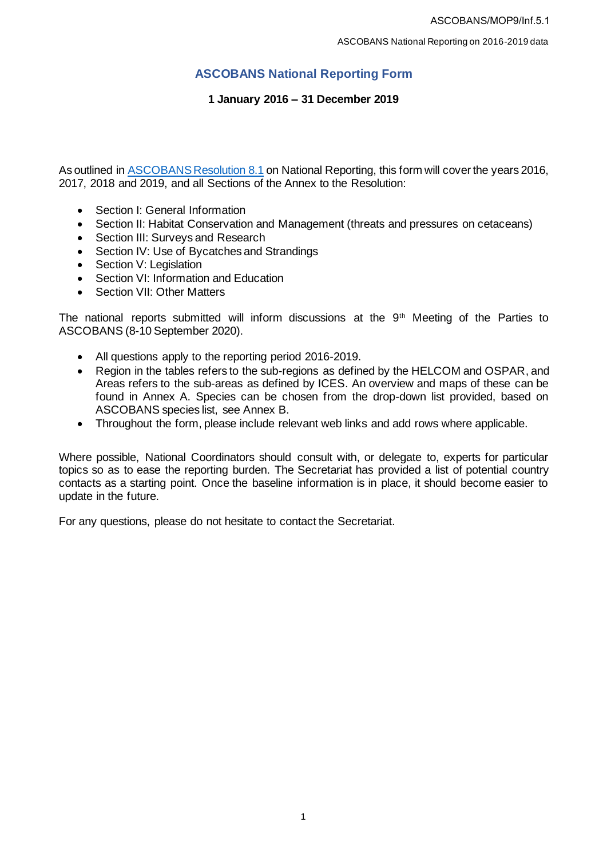# **ASCOBANS National Reporting Form**

# **1 January 2016 – 31 December 2019**

As outlined in [ASCOBANS Resolution 8.1](https://www.ascobans.org/en/document/ascobans-resolution-81-national-reporting) on National Reporting, this form will cover the years 2016, 2017, 2018 and 2019, and all Sections of the Annex to the Resolution:

- Section I: General Information
- Section II: Habitat Conservation and Management (threats and pressures on cetaceans)
- Section III: Surveys and Research
- Section IV: Use of Bycatches and Strandings
- Section V: Legislation
- Section VI: Information and Education
- Section VII: Other Matters

The national reports submitted will inform discussions at the 9<sup>th</sup> Meeting of the Parties to ASCOBANS (8-10 September 2020).

- All questions apply to the reporting period 2016-2019.
- Region in the tables refers to the sub-regions as defined by the HELCOM and OSPAR, and Areas refers to the sub-areas as defined by ICES. An overview and maps of these can be found in Annex A. Species can be chosen from the drop-down list provided, based on ASCOBANS species list, see Annex B.
- Throughout the form, please include relevant web links and add rows where applicable.

Where possible, National Coordinators should consult with, or delegate to, experts for particular topics so as to ease the reporting burden. The Secretariat has provided a list of potential country contacts as a starting point. Once the baseline information is in place, it should become easier to update in the future.

For any questions, please do not hesitate to contact the Secretariat.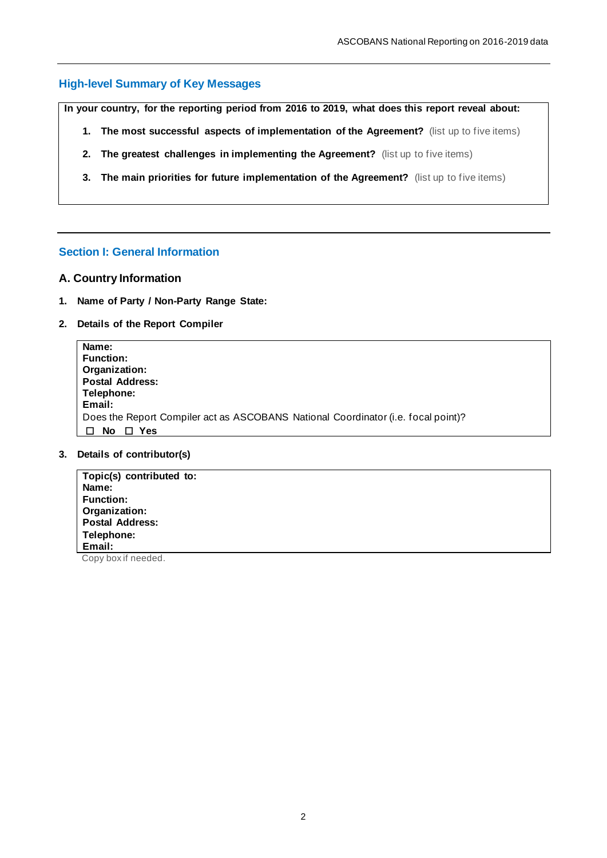# **High-level Summary of Key Messages**

**In your country, for the reporting period from 2016 to 2019, what does this report reveal about:**

- **1.** The most successful aspects of implementation of the Agreement? (list up to five items)
- **2. The greatest challenges in implementing the Agreement?** (list up to five items)
- **3. The main priorities for future implementation of the Agreement?** (list up to five items)

# **Section I: General Information**

#### **A. Country Information**

- **1. Name of Party / Non-Party Range State:**
- **2. Details of the Report Compiler**

| Name:                                                                             |
|-----------------------------------------------------------------------------------|
| <b>Function:</b>                                                                  |
| Organization:                                                                     |
| <b>Postal Address:</b>                                                            |
| Telephone:                                                                        |
| Email:                                                                            |
| Does the Report Compiler act as ASCOBANS National Coordinator (i.e. focal point)? |
| No<br>Yes                                                                         |

## **3. Details of contributor(s)**

| Topic(s) contributed to: |  |
|--------------------------|--|
| Name:                    |  |
| <b>Function:</b>         |  |
| Organization:            |  |
| <b>Postal Address:</b>   |  |
| Telephone:               |  |
| Email:                   |  |

Copy box if needed.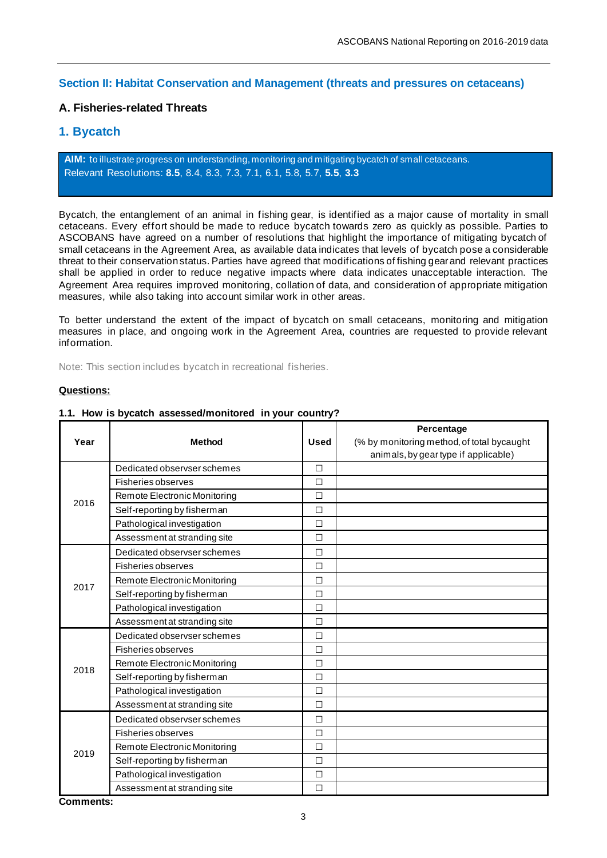# **Section II: Habitat Conservation and Management (threats and pressures on cetaceans)**

# **A. Fisheries-related Threats**

# **1. Bycatch**

**AIM:** to illustrate progress on understanding, monitoring and mitigating bycatch of small cetaceans. Relevant Resolutions: **[8.5](https://www.ascobans.org/en/document/monitoring-and-mitigation-small-cetacean-bycatch)**, [8.4,](https://www.ascobans.org/en/document/conservation-common-dolphins) [8.3,](https://www.ascobans.org/en/document/revision-recovery-plan-baltic-harbour-porpoises-jastarnia-plan) [7.3,](https://www.ascobans.org/en/document/research-and-conservation-actions-extension-agreement-area) [7.1,](https://www.ascobans.org/en/document/conservation-harbour-porpoises-and-adoption-conservation-plan-western-baltic-belt-sea-and) [6.1,](https://www.ascobans.org/en/document/adoption-and-implementation-jastarnia-and-north-sea-plans) [5.8,](https://www.ascobans.org/en/document/educational-and-promotional-activities-1) [5.7,](https://www.ascobans.org/en/document/research-habitat-quality-health-and-status-small-cetaceans-agreement-area) **[5.5](https://www.ascobans.org/en/document/incidental-take-small-cetaceans-0)**, **[3.3](https://www.ascobans.org/en/document/incidental-take-small-cetaceans)**

Bycatch, the entanglement of an animal in fishing gear, is identified as a major cause of mortality in small cetaceans. Every effort should be made to reduce bycatch towards zero as quickly as possible. Parties to ASCOBANS have agreed on a number of resolutions that highlight the importance of mitigating bycatch of small cetaceans in the Agreement Area, as available data indicates that levels of bycatch pose a considerable threat to their conservation status. Parties have agreed that modifications of fishing gear and relevant practices shall be applied in order to reduce negative impacts where data indicates unacceptable interaction. The Agreement Area requires improved monitoring, collation of data, and consideration of appropriate mitigation measures, while also taking into account similar work in other areas.

To better understand the extent of the impact of bycatch on small cetaceans, monitoring and mitigation measures in place, and ongoing work in the Agreement Area, countries are requested to provide relevant information.

Note: This section includes bycatch in recreational fisheries.

#### **Questions:**

|      |                              |             | Percentage                                 |
|------|------------------------------|-------------|--------------------------------------------|
| Year | <b>Method</b>                | <b>Used</b> | (% by monitoring method, of total bycaught |
|      |                              |             | animals, by gear type if applicable)       |
|      | Dedicated observser schemes  | $\Box$      |                                            |
|      | <b>Fisheries observes</b>    | $\Box$      |                                            |
| 2016 | Remote Electronic Monitoring | $\Box$      |                                            |
|      | Self-reporting by fisherman  | $\Box$      |                                            |
|      | Pathological investigation   | П           |                                            |
|      | Assessment at stranding site | $\Box$      |                                            |
|      | Dedicated observser schemes  | $\Box$      |                                            |
|      | <b>Fisheries observes</b>    | П           |                                            |
| 2017 | Remote Electronic Monitoring | П           |                                            |
|      | Self-reporting by fisherman  | $\Box$      |                                            |
|      | Pathological investigation   | $\Box$      |                                            |
|      | Assessment at stranding site | $\Box$      |                                            |
|      | Dedicated observser schemes  | П           |                                            |
|      | <b>Fisheries observes</b>    | П           |                                            |
| 2018 | Remote Electronic Monitoring | $\Box$      |                                            |
|      | Self-reporting by fisherman  | $\Box$      |                                            |
|      | Pathological investigation   | $\Box$      |                                            |
|      | Assessment at stranding site | $\Box$      |                                            |
|      | Dedicated observser schemes  | П           |                                            |
|      | <b>Fisheries observes</b>    | $\Box$      |                                            |
| 2019 | Remote Electronic Monitoring | $\Box$      |                                            |
|      | Self-reporting by fisherman  | $\Box$      |                                            |
|      | Pathological investigation   | $\Box$      |                                            |
|      | Assessment at stranding site | $\Box$      |                                            |

#### **1.1. How is bycatch assessed/monitored in your country?**

**Comments:**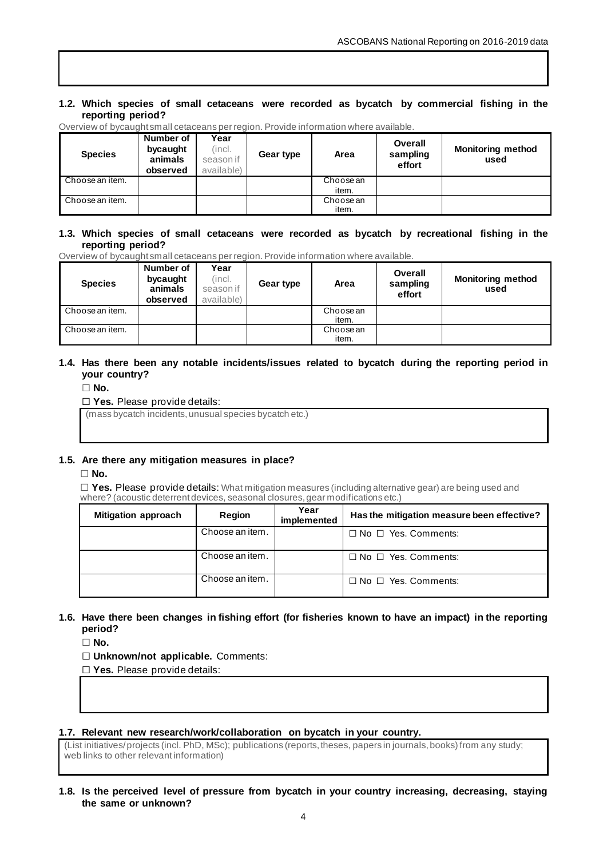#### **1.2. Which species of small cetaceans were recorded as bycatch by commercial fishing in the reporting period?**

| <b>Species</b>  | Number of<br>bycaught<br>animals<br>observed | Year<br>(incl.<br>season if<br>available) | Gear type | Area               | Overall<br>sampling<br>effort | <b>Monitoring method</b><br>used |
|-----------------|----------------------------------------------|-------------------------------------------|-----------|--------------------|-------------------------------|----------------------------------|
| Choose an item. |                                              |                                           |           | Choose an          |                               |                                  |
|                 |                                              |                                           |           | item.              |                               |                                  |
| Choose an item. |                                              |                                           |           | Choose an<br>item. |                               |                                  |

Overview of bycaught small cetaceans per region. Provide information where available.

#### **1.3. Which species of small cetaceans were recorded as bycatch by recreational fishing in the reporting period?**

Overview of bycaught small cetaceans per region. Provide information where available.

| <b>Species</b>  | Number of<br>bycaught<br>animals<br>observed | Year<br>(incl.<br>season if<br>available) | Gear type | Area               | Overall<br>sampling<br>effort | <b>Monitoring method</b><br>used |
|-----------------|----------------------------------------------|-------------------------------------------|-----------|--------------------|-------------------------------|----------------------------------|
| Choose an item. |                                              |                                           |           | Choose an<br>item. |                               |                                  |
| Choose an item. |                                              |                                           |           | Choose an<br>item. |                               |                                  |

## **1.4. Has there been any notable incidents/issues related to bycatch during the reporting period in your country?**

☐ **No.**

## ☐ **Yes.** Please provide details:

(mass bycatch incidents, unusual species bycatch etc.)

#### **1.5. Are there any mitigation measures in place?**

☐ **No.**

☐ **Yes.** Please provide details: What mitigation measures (including alternative gear) are being used and where? (acoustic deterrent devices, seasonal closures, gear modifications etc.)

| <b>Mitigation approach</b> | Region          | Year<br>implemented | Has the mitigation measure been effective? |  |  |
|----------------------------|-----------------|---------------------|--------------------------------------------|--|--|
|                            | Choose an item. |                     | $\Box$ No $\Box$ Yes. Comments:            |  |  |
|                            | Choose an item. |                     | $\Box$ No $\Box$ Yes. Comments:            |  |  |
|                            | Choose an item. |                     | $\Box$ No $\Box$ Yes. Comments:            |  |  |

# **1.6. Have there been changes in fishing effort (for fisheries known to have an impact) in the reporting period?**

☐ **No.**

☐ **Unknown/not applicable.** Comments:

☐ **Yes.** Please provide details:

## **1.7. Relevant new research/work/collaboration on bycatch in your country.**

(List initiatives/ projects (incl. PhD, MSc); publications (reports, theses, papers in journals, books) from any study; web links to other relevant information)

**1.8. Is the perceived level of pressure from bycatch in your country increasing, decreasing, staying the same or unknown?**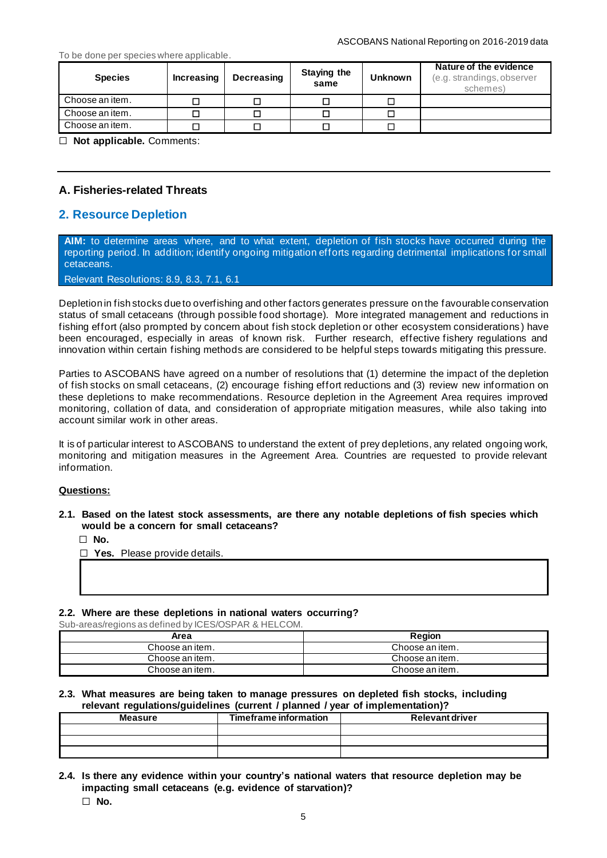#### To be done per species where applicable.

| <b>Species</b>  | <b>Increasing</b> | <b>Decreasing</b> | <b>Staying the</b><br>same | <b>Unknown</b> | Nature of the evidence<br>(e.g. strandings, observer<br>schemes) |
|-----------------|-------------------|-------------------|----------------------------|----------------|------------------------------------------------------------------|
| Choose an item. |                   |                   |                            |                |                                                                  |
| Choose an item. |                   | I.                |                            |                |                                                                  |
| Choose an item. |                   | п                 |                            |                |                                                                  |

☐ **Not applicable.** Comments:

# **A. Fisheries-related Threats**

# **2. Resource Depletion**

**AIM:** to determine areas where, and to what extent, depletion of fish stocks have occurred during the reporting period. In addition; identify ongoing mitigation efforts regarding detrimental implications for small cetaceans.

Relevant Resolutions: [8.9,](https://www.ascobans.org/en/document/managing-cumulative-anthropogenic-impacts-marine-environment-0) [8.3,](https://www.ascobans.org/en/document/revision-recovery-plan-baltic-harbour-porpoises-jastarnia-plan) [7.1,](https://www.ascobans.org/en/document/conservation-harbour-porpoises-and-adoption-conservation-plan-western-baltic-belt-sea-and) [6.1](https://www.ascobans.org/en/document/adoption-and-implementation-jastarnia-and-north-sea-plans)

Depletion in fish stocks due to overfishing and other factors generates pressure on the favourable conservation status of small cetaceans (through possible food shortage). More integrated management and reductions in fishing effort (also prompted by concern about fish stock depletion or other ecosystem considerations ) have been encouraged, especially in areas of known risk. Further research, effective fishery regulations and innovation within certain fishing methods are considered to be helpful steps towards mitigating this pressure.

Parties to ASCOBANS have agreed on a number of resolutions that (1) determine the impact of the depletion of fish stocks on small cetaceans, (2) encourage fishing effort reductions and (3) review new information on these depletions to make recommendations. Resource depletion in the Agreement Area requires improved monitoring, collation of data, and consideration of appropriate mitigation measures, while also taking into account similar work in other areas.

It is of particular interest to ASCOBANS to understand the extent of prey depletions, any related ongoing work, monitoring and mitigation measures in the Agreement Area. Countries are requested to provide relevant information.

#### **Questions:**

**2.1. Based on the latest stock assessments, are there any notable depletions of fish species which would be a concern for small cetaceans?**

☐ **No.**

☐ **Yes.** Please provide details.

#### **2.2. Where are these depletions in national waters occurring?**

Sub-areas/regions as defined by ICES/OSPAR & HELCOM.

| Area            | Region          |
|-----------------|-----------------|
| Choose an item. | Choose an item. |
| Choose an item. | Choose an item. |
| Choose an item. | Choose an item. |

#### **2.3. What measures are being taken to manage pressures on depleted fish stocks, including relevant regulations/guidelines (current / planned / year of implementation)?**

| <b>Measure</b> | Timeframe information | <b>Relevant driver</b> |
|----------------|-----------------------|------------------------|
|                |                       |                        |
|                |                       |                        |
|                |                       |                        |

- **2.4. Is there any evidence within your country's national waters that resource depletion may be impacting small cetaceans (e.g. evidence of starvation)?** ☐ **No.**
	-

5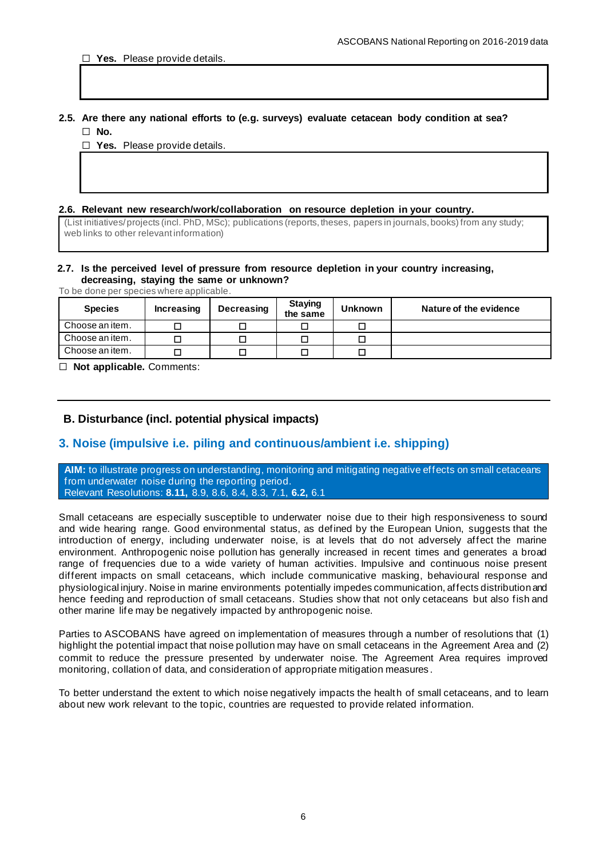## **2.5. Are there any national efforts to (e.g. surveys) evaluate cetacean body condition at sea?** ☐ **No.**

☐ **Yes.** Please provide details.

#### **2.6. Relevant new research/work/collaboration on resource depletion in your country.**

(List initiatives/ projects (incl. PhD, MSc); publications (reports, theses, papers in journals, books) from any study; web links to other relevant information)

#### **2.7. Is the perceived level of pressure from resource depletion in your country increasing, decreasing, staying the same or unknown?**

To be done per species where applicable.

| <b>Species</b>  | Increasing | <b>Decreasing</b> | <b>Staying</b><br>the same | <b>Unknown</b> | Nature of the evidence |
|-----------------|------------|-------------------|----------------------------|----------------|------------------------|
| Choose an item. |            |                   |                            |                |                        |
| Choose an item. |            |                   |                            |                |                        |
| Choose an item. |            |                   |                            |                |                        |

☐ **Not applicable.** Comments:

## **B. Disturbance (incl. potential physical impacts)**

# **3. Noise (impulsive i.e. piling and continuous/ambient i.e. shipping)**

**AIM:** to illustrate progress on understanding, monitoring and mitigating negative effects on small cetaceans from underwater noise during the reporting period. Relevant Resolutions: **[8.11,](https://www.ascobans.org/en/document/cms-family-guidelines-environmental-impact-assessments-marine-noise-generating-activities-0)** [8.9,](https://www.ascobans.org/en/document/managing-cumulative-anthropogenic-impacts-marine-environment-0) [8.6,](https://www.ascobans.org/en/document/ocean-energy) [8.4,](https://www.ascobans.org/en/document/conservation-common-dolphins) [8.3,](https://www.ascobans.org/en/document/revision-recovery-plan-baltic-harbour-porpoises-jastarnia-plan) [7.1,](https://www.ascobans.org/en/document/conservation-harbour-porpoises-and-adoption-conservation-plan-western-baltic-belt-sea-and) **[6.2,](https://www.ascobans.org/en/document/adverse-effects-underwater-noise-marine-mammals-during-offshore-construction-activities)** [6.1](https://www.ascobans.org/en/document/adoption-and-implementation-jastarnia-and-north-sea-plans)

Small cetaceans are especially susceptible to underwater noise due to their high responsiveness to sound and wide hearing range. Good environmental status, as defined by the European Union, suggests that the introduction of energy, including underwater noise, is at levels that do not adversely affect the marine environment. Anthropogenic noise pollution has generally increased in recent times and generates a broad range of frequencies due to a wide variety of human activities. Impulsive and continuous noise present different impacts on small cetaceans, which include communicative masking, behavioural response and physiological injury. Noise in marine environments potentially impedes communication, affects distribution and hence feeding and reproduction of small cetaceans. Studies show that not only cetaceans but also fish and other marine life may be negatively impacted by anthropogenic noise.

Parties to ASCOBANS have agreed on implementation of measures through a number of resolutions that (1) highlight the potential impact that noise pollution may have on small cetaceans in the Agreement Area and (2) commit to reduce the pressure presented by underwater noise. The Agreement Area requires improved monitoring, collation of data, and consideration of appropriate mitigation measures .

To better understand the extent to which noise negatively impacts the health of small cetaceans, and to learn about new work relevant to the topic, countries are requested to provide related information.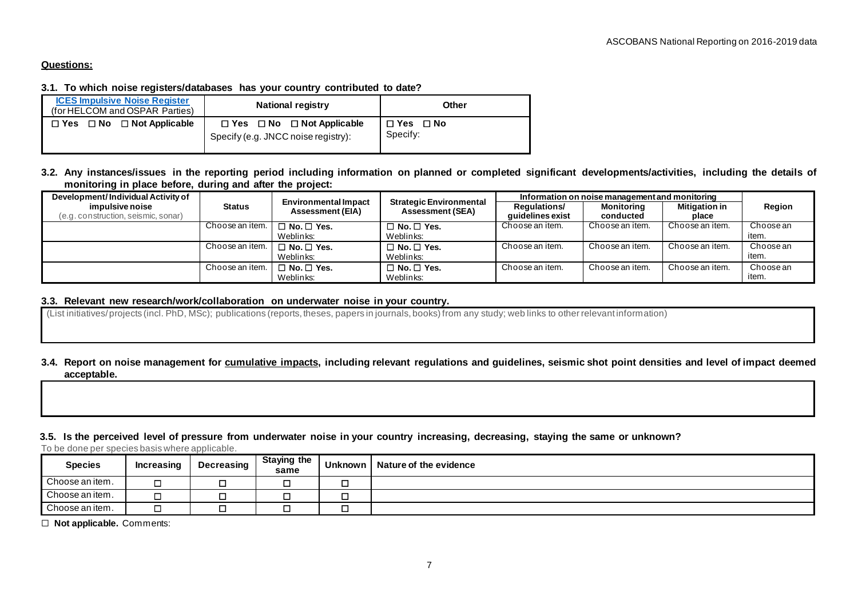#### **Questions:**

## **3.1. To which noise registers/databases has your country contributed to date?**

| <b>ICES Impulsive Noise Register</b><br>(for HELCOM and OSPAR Parties) | <b>National registry</b>                                                          | Other                  |
|------------------------------------------------------------------------|-----------------------------------------------------------------------------------|------------------------|
| $\Box$ Yes $\Box$ No $\Box$ Not Applicable                             | $\Box$ Yes $\Box$ No $\Box$ Not Applicable<br>Specify (e.g. JNCC noise registry): | □ Yes □ No<br>Specify: |

## **3.2. Any instances/issues in the reporting period including information on planned or completed significant developments/activities, including the details of monitoring in place before, during and after the project:**

| Development/Individual Activity of                     |                 |                                                        | <b>Strategic Environmental</b> | Information on noise management and monitoring |                         |                               |           |
|--------------------------------------------------------|-----------------|--------------------------------------------------------|--------------------------------|------------------------------------------------|-------------------------|-------------------------------|-----------|
| impulsive noise<br>(e.g. construction, seismic, sonar) | <b>Status</b>   | <b>Environmental Impact</b><br><b>Assessment (EIA)</b> | <b>Assessment (SEA)</b>        | <b>Regulations/</b><br>quidelines exist        | Monitorina<br>conducted | <b>Mitigation in</b><br>place | Region    |
|                                                        | Choose an item. | $\Box$ No. $\Box$ Yes.                                 | $\Box$ No. $\Box$ Yes.         | Choose an item.                                | Choose an item.         | Choose an item.               | Choose an |
|                                                        |                 | Weblinks:                                              | Weblinks:                      |                                                |                         |                               | item.     |
|                                                        | Choose an item. | $\Box$ No. $\Box$ Yes.                                 | $\Box$ No. $\Box$ Yes.         | Choose an item.                                | Choose an item.         | Choose an item.               | Choose an |
|                                                        |                 | Weblinks:                                              | Weblinks:                      |                                                |                         |                               | item.     |
|                                                        | Choose an item. | $\Box$ No. $\Box$ Yes.                                 | $\Box$ No. $\Box$ Yes.         | Choose an item.                                | Choose an item.         | Choose an item.               | Choose an |
|                                                        |                 | Weblinks:                                              | Weblinks:                      |                                                |                         |                               | item.     |

## **3.3. Relevant new research/work/collaboration on underwater noise in your country.**

(List initiatives/ projects (incl. PhD, MSc); publications (reports, theses, papers in journals, books) from any study; web links to other relevant information)

## **3.4. Report on noise management for cumulative impacts, including relevant regulations and guidelines, seismic shot point densities and level of impact deemed acceptable.**

#### **3.5. Is the perceived level of pressure from underwater noise in your country increasing, decreasing, staying the same or unknown?**

To be done per species basis where applicable.

| <b>Species</b>  | Increasing | Decreasing | <b>Staying the</b><br>same | <b>Unknown</b> | Nature of the evidence |
|-----------------|------------|------------|----------------------------|----------------|------------------------|
| Choose an item. | ۱          | −          |                            |                |                        |
| Choose an item. |            | –          |                            |                |                        |
| Choose an item. | ١          |            |                            |                |                        |

☐ **Not applicable.** Comments: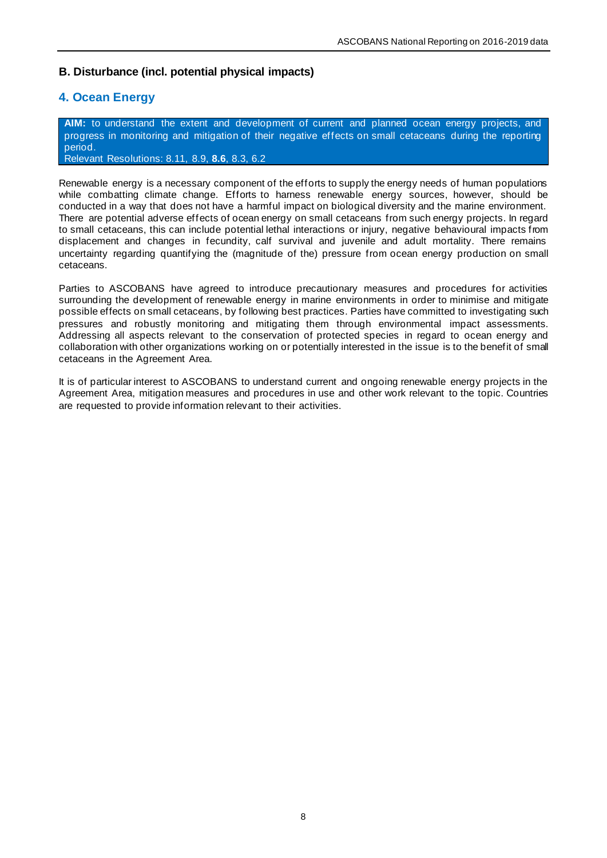# **B. Disturbance (incl. potential physical impacts)**

# **4. Ocean Energy**

**AIM:** to understand the extent and development of current and planned ocean energy projects, and progress in monitoring and mitigation of their negative effects on small cetaceans during the reporting period. Relevant Resolutions: [8.11,](https://www.ascobans.org/en/document/cms-family-guidelines-environmental-impact-assessments-marine-noise-generating-activities-0) [8.9,](https://www.ascobans.org/en/document/managing-cumulative-anthropogenic-impacts-marine-environment-0) **[8.6](https://www.ascobans.org/en/document/ocean-energy)**, [8.3,](https://www.ascobans.org/en/document/revision-recovery-plan-baltic-harbour-porpoises-jastarnia-plan) [6.2](https://www.ascobans.org/en/document/adverse-effects-underwater-noise-marine-mammals-during-offshore-construction-activities)

Renewable energy is a necessary component of the efforts to supply the energy needs of human populations while combatting climate change. Efforts to harness renewable energy sources, however, should be conducted in a way that does not have a harmful impact on biological diversity and the marine environment. There are potential adverse effects of ocean energy on small cetaceans from such energy projects. In regard to small cetaceans, this can include potential lethal interactions or injury, negative behavioural impacts from displacement and changes in fecundity, calf survival and juvenile and adult mortality. There remains uncertainty regarding quantifying the (magnitude of the) pressure from ocean energy production on small cetaceans.

Parties to ASCOBANS have agreed to introduce precautionary measures and procedures for activities surrounding the development of renewable energy in marine environments in order to minimise and mitigate possible effects on small cetaceans, by following best practices. Parties have committed to investigating such pressures and robustly monitoring and mitigating them through environmental impact assessments. Addressing all aspects relevant to the conservation of protected species in regard to ocean energy and collaboration with other organizations working on or potentially interested in the issue is to the benefit of small cetaceans in the Agreement Area.

It is of particular interest to ASCOBANS to understand current and ongoing renewable energy projects in the Agreement Area, mitigation measures and procedures in use and other work relevant to the topic. Countries are requested to provide information relevant to their activities.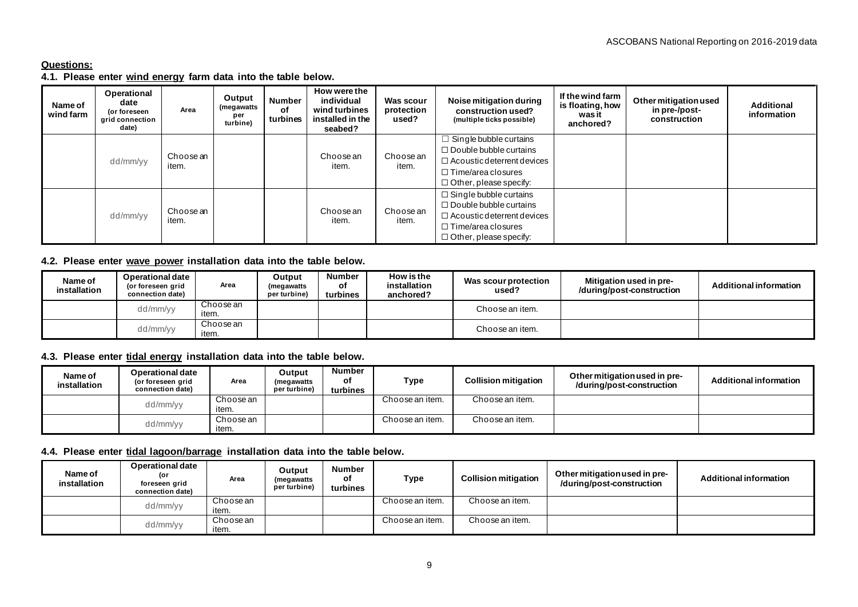# **Questions:**

# **4.1. Please enter wind energy farm data into the table below.**

| Name of<br>wind farm | Operational<br>date<br>(or foreseen<br>grid connection<br>date) | Area      | Output<br>(megawatts<br>per<br>turbine) | <b>Number</b><br>of<br>turbines | How were the<br>individual<br>wind turbines<br>installed in the<br>seabed? | Was scour<br>protection<br>used?  | Noise mitigation during<br>construction used?<br>(multiple ticks possible) | If the wind farm<br>is floating, how<br>was it<br>anchored? | Other mitigation used<br>in pre-/post-<br>construction | <b>Additional</b><br>information |
|----------------------|-----------------------------------------------------------------|-----------|-----------------------------------------|---------------------------------|----------------------------------------------------------------------------|-----------------------------------|----------------------------------------------------------------------------|-------------------------------------------------------------|--------------------------------------------------------|----------------------------------|
|                      |                                                                 |           |                                         |                                 |                                                                            |                                   | $\Box$ Single bubble curtains                                              |                                                             |                                                        |                                  |
|                      |                                                                 | Choose an |                                         |                                 | Choose an                                                                  | Choose an                         | $\Box$ Double bubble curtains                                              |                                                             |                                                        |                                  |
|                      | dd/mm/yy                                                        | item.     |                                         |                                 | item.                                                                      | item.                             | $\Box$ Acoustic deterrent devices                                          |                                                             |                                                        |                                  |
|                      |                                                                 |           |                                         |                                 |                                                                            |                                   | $\Box$ Time/area closures                                                  |                                                             |                                                        |                                  |
|                      |                                                                 |           |                                         |                                 |                                                                            |                                   | $\Box$ Other, please specify:                                              |                                                             |                                                        |                                  |
|                      |                                                                 |           |                                         |                                 |                                                                            |                                   | $\Box$ Single bubble curtains                                              |                                                             |                                                        |                                  |
|                      |                                                                 |           |                                         |                                 |                                                                            |                                   | $\Box$ Double bubble curtains                                              |                                                             |                                                        |                                  |
| dd/mm/yy             | Choose an<br>item.                                              |           |                                         | Choose an<br>item.              | Choose an<br>item.                                                         | $\Box$ Acoustic deterrent devices |                                                                            |                                                             |                                                        |                                  |
|                      |                                                                 |           |                                         |                                 |                                                                            |                                   | $\Box$ Time/area closures                                                  |                                                             |                                                        |                                  |
|                      |                                                                 |           |                                         |                                 |                                                                            |                                   | $\Box$ Other, please specify:                                              |                                                             |                                                        |                                  |

## **4.2. Please enter wave power installation data into the table below.**

| Name of<br>installation | Operational date<br>(or foreseen grid<br>connection date) | Area               | Output<br>(megawatts<br>per turbine) | Number<br>оf<br>turbines | How is the<br>installation<br>anchored? | Was scour protection<br>used? | Mitigation used in pre-<br>/during/post-construction | <b>Additional information</b> |
|-------------------------|-----------------------------------------------------------|--------------------|--------------------------------------|--------------------------|-----------------------------------------|-------------------------------|------------------------------------------------------|-------------------------------|
|                         | dd/mm/yy                                                  | Choose an<br>item. |                                      |                          |                                         | Choose an item.               |                                                      |                               |
|                         | dd/mm/yy                                                  | Choose an<br>item. |                                      |                          |                                         | Choose an item.               |                                                      |                               |

# **4.3. Please enter tidal energy installation data into the table below.**

| Name of<br>installation | <b>Operational date</b><br>(or foreseen grid<br>connection date) | Area      | Output<br>(megawatts<br>per turbine) | <b>Number</b><br>οf<br>turbines | Type            | <b>Collision mitigation</b> | Other mitigation used in pre-<br>/during/post-construction | Additional information |
|-------------------------|------------------------------------------------------------------|-----------|--------------------------------------|---------------------------------|-----------------|-----------------------------|------------------------------------------------------------|------------------------|
|                         | dd/mm/yy                                                         | Choose an |                                      |                                 | Choose an item. | Choose an item.             |                                                            |                        |
|                         |                                                                  | item.     |                                      |                                 |                 |                             |                                                            |                        |
|                         | dd/mm/yy                                                         | Choose an |                                      |                                 | Choose an item. | Choose an item.             |                                                            |                        |
|                         |                                                                  | item.     |                                      |                                 |                 |                             |                                                            |                        |

# **4.4. Please enter tidal lagoon/barrage installation data into the table below.**

| Name of<br>installation | <b>Operational date</b><br>(or<br>foreseen grid<br>connection date) | Area      | Output<br>(megawatts<br>per turbine) | <b>Number</b><br>оf<br>turbines | <b>Type</b>     | <b>Collision mitigation</b> | Other mitigation used in pre-<br>/during/post-construction | <b>Additional information</b> |
|-------------------------|---------------------------------------------------------------------|-----------|--------------------------------------|---------------------------------|-----------------|-----------------------------|------------------------------------------------------------|-------------------------------|
|                         | dd/mm/yy                                                            | Choose an |                                      |                                 | Choose an item. | Choose an item.             |                                                            |                               |
|                         |                                                                     | item.     |                                      |                                 |                 |                             |                                                            |                               |
|                         | dd/mm/yy                                                            | Choose an |                                      |                                 | Choose an item. | Choose an item.             |                                                            |                               |
|                         |                                                                     | item.     |                                      |                                 |                 |                             |                                                            |                               |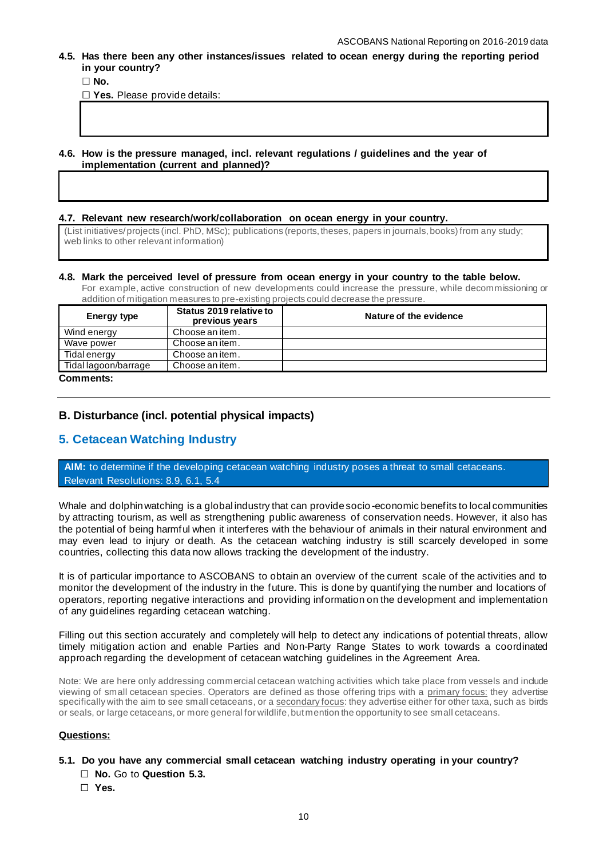**4.5. Has there been any other instances/issues related to ocean energy during the reporting period in your country?**

☐ **No.**

☐ **Yes.** Please provide details:

**4.6. How is the pressure managed, incl. relevant regulations / guidelines and the year of implementation (current and planned)?**

#### **4.7. Relevant new research/work/collaboration on ocean energy in your country.**

(List initiatives/ projects (incl. PhD, MSc); publications (reports, theses, papers in journals, books) from any study; web links to other relevant information)

#### **4.8. Mark the perceived level of pressure from ocean energy in your country to the table below.**

For example, active construction of new developments could increase the pressure, while decommissioning or addition of mitigation measures to pre-existing projects could decrease the pressure.

| Energy type                            | Status 2019 relative to<br>previous years | Nature of the evidence |
|----------------------------------------|-------------------------------------------|------------------------|
| Wind energy                            | Choose an item.                           |                        |
| Wave power                             | Choose an item.                           |                        |
| Tidal energy                           | Choose an item.                           |                        |
| Tidal lagoon/barrage                   | Choose an item.                           |                        |
| $n_{\rm am}$ $_{\rm max}$ $_{\rm max}$ |                                           |                        |

#### **Comments:**

#### **B. Disturbance (incl. potential physical impacts)**

# **5. Cetacean Watching Industry**

**AIM:** to determine if the developing cetacean watching industry poses a threat to small cetaceans. Relevant Resolutions: [8.9,](https://www.ascobans.org/en/document/managing-cumulative-anthropogenic-impacts-marine-environment-0) [6.1,](https://www.ascobans.org/en/document/adoption-and-implementation-jastarnia-and-north-sea-plans) [5.4](https://www.ascobans.org/en/document/adverse-effects-sound-vessels-and-other-forms-disturbance-small-cetaceans)

Whale and dolphin watching is a global industry that can provide socio -economic benefits to local communities by attracting tourism, as well as strengthening public awareness of conservation needs. However, it also has the potential of being harmful when it interferes with the behaviour of animals in their natural environment and may even lead to injury or death. As the cetacean watching industry is still scarcely developed in some countries, collecting this data now allows tracking the development of the industry.

It is of particular importance to ASCOBANS to obtain an overview of the current scale of the activities and to monitor the development of the industry in the future. This is done by quantifying the number and locations of operators, reporting negative interactions and providing information on the development and implementation of any guidelines regarding cetacean watching.

Filling out this section accurately and completely will help to detect any indications of potential threats, allow timely mitigation action and enable Parties and Non-Party Range States to work towards a coordinated approach regarding the development of cetacean watching guidelines in the Agreement Area.

Note: We are here only addressing commercial cetacean watching activities which take place from vessels and include viewing of small cetacean species. Operators are defined as those offering trips with a primary focus: they advertise specifically with the aim to see small cetaceans, or a secondary focus: they advertise either for other taxa, such as birds or seals, or large cetaceans, or more general for wildlife, but mention the opportunity to see small cetaceans.

## **Questions:**

#### **5.1. Do you have any commercial small cetacean watching industry operating in your country?**

- ☐ **No.** Go to **Question 5.3.**
- ☐ **Yes.**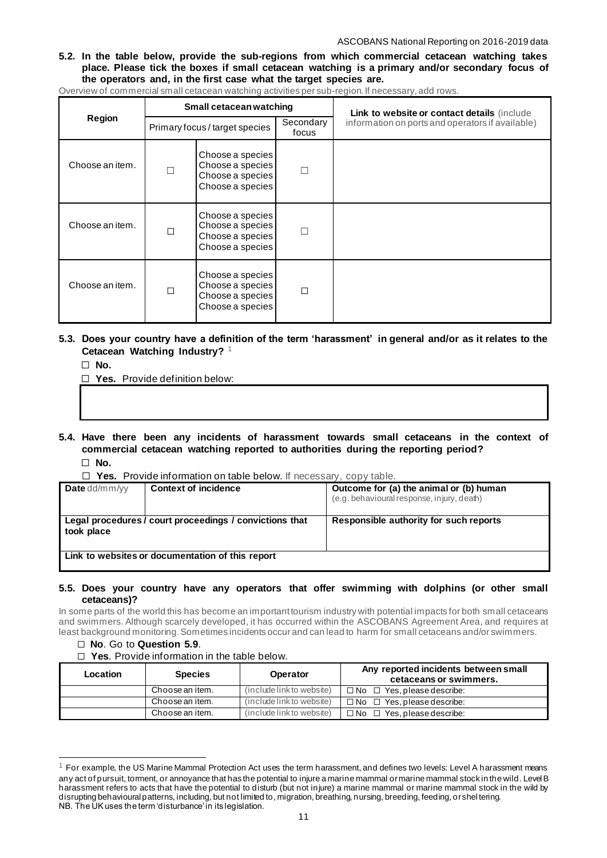**5.2. In the table below, provide the sub-regions from which commercial cetacean watching takes place. Please tick the boxes if small cetacean watching is a primary and/or secondary focus of the operators and, in the first case what the target species are.** 

| Overview of commercial small cetacean watching activities per sub-region. If necessary, add rows. |  |  |
|---------------------------------------------------------------------------------------------------|--|--|
|                                                                                                   |  |  |

|                 |                                                                                   | Small cetacean watching                                                      |                    | Link to website or contact details (include      |
|-----------------|-----------------------------------------------------------------------------------|------------------------------------------------------------------------------|--------------------|--------------------------------------------------|
| Region          |                                                                                   | Primary focus / target species                                               | Secondary<br>focus | information on ports and operators if available) |
| Choose an item. | г                                                                                 | Choose a species<br>Choose a species<br>Choose a species<br>Choose a species |                    |                                                  |
| Choose an item. | П                                                                                 | Choose a species<br>Choose a species<br>Choose a species<br>Choose a species |                    |                                                  |
| Choose an item. | Choose a species<br>Choose a species<br>П<br>Choose a species<br>Choose a species |                                                                              | П                  |                                                  |

- **5.3. Does your country have a definition of the term 'harassment' in general and/or as it relates to the Cetacean Watching Industry?** <sup>1</sup>
	- ☐ **No.**

☐ **Yes.** Provide definition below:

- **5.4. Have there been any incidents of harassment towards small cetaceans in the context of commercial cetacean watching reported to authorities during the reporting period?** ☐ **No.**
	- ☐ **Yes.** Provide information on table below. If necessary, copy table.

| <b>Date</b> dd/mm/yy | <b>Context of incidence</b>                             | Outcome for (a) the animal or (b) human<br>(e.g. behavioural response, injury, death) |
|----------------------|---------------------------------------------------------|---------------------------------------------------------------------------------------|
| took place           | Legal procedures / court proceedings / convictions that | Responsible authority for such reports                                                |
|                      | Link to websites or documentation of this report        |                                                                                       |

#### **5.5. Does your country have any operators that offer swimming with dolphins (or other small cetaceans)?**

In some parts of the world this has become an important tourism industry with potential impacts for both small cetaceans and swimmers. Although scarcely developed, it has occurred within the ASCOBANS Agreement Area, and requires at least background monitoring. Sometimes incidents occur and can lead to harm for small cetaceans and/or swimmers.

- ☐ **No**. Go to **Question 5.9**.
- ☐ **Yes**. Provide information in the table below.

| Location | <b>Species</b>  | <b>Operator</b>           | Any reported incidents between small<br>cetaceans or swimmers. |
|----------|-----------------|---------------------------|----------------------------------------------------------------|
|          | Choose an item. | (include link to website) | $\Box$ No $\Box$ Yes, please describe:                         |
|          | Choose an item. | (include link to website) | $\Box$ No $\Box$ Yes, please describe:                         |
|          | Choose an item. | (include link to website) | $\Box$ No $\Box$ Yes, please describe:                         |

 $1$  For example, the US Marine Mammal Protection Act uses the term harassment, and defines two levels: Level A harassment means any act of pursuit, torment, or annoyance that has the potential to injure a marine mammal or marine mammal stock in the wild. LevelB harassment refers to acts that have the potential to disturb (but not injure) a marine mammal or marine mammal stock in the wild by disrupting behavioural patterns, including, but not limited to, migration, breathing, nursing, breeding, feeding, or shel tering. NB. The UK uses the term 'disturbance' in its legislation.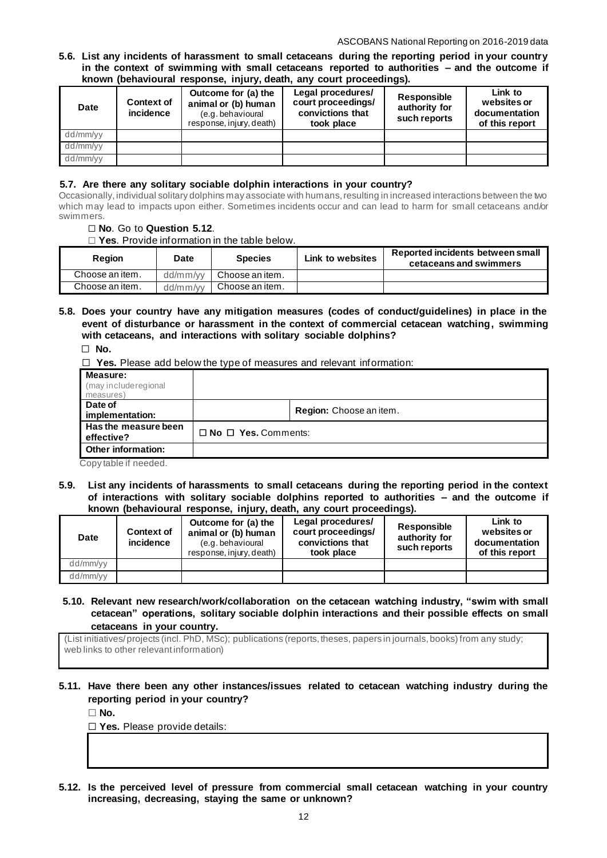#### **5.6. List any incidents of harassment to small cetaceans during the reporting period in your country in the context of swimming with small cetaceans reported to authorities – and the outcome if known (behavioural response, injury, death, any court proceedings).**

| <b>Date</b> | Outcome for (a) the<br><b>Context of</b><br>animal or (b) human<br>incidence<br>(e.g. behavioural<br>response, injury, death) |  | Legal procedures/<br>court proceedings/<br>convictions that<br>took place | Responsible<br>authority for<br>such reports | Link to<br>websites or<br>documentation<br>of this report |  |  |  |  |  |
|-------------|-------------------------------------------------------------------------------------------------------------------------------|--|---------------------------------------------------------------------------|----------------------------------------------|-----------------------------------------------------------|--|--|--|--|--|
| dd/mm/yy    |                                                                                                                               |  |                                                                           |                                              |                                                           |  |  |  |  |  |
| dd/mm/yy    |                                                                                                                               |  |                                                                           |                                              |                                                           |  |  |  |  |  |
| dd/mm/yy    |                                                                                                                               |  |                                                                           |                                              |                                                           |  |  |  |  |  |

# **5.7. Are there any solitary sociable dolphin interactions in your country?**

Occasionally, individual solitary dolphins may associate with humans, resulting in increased interactions between the two which may lead to impacts upon either. Sometimes incidents occur and can lead to harm for small cetaceans and/or swimmers.

## ☐ **No**. Go to **Question 5.12**.

☐ **Yes**. Provide information in the table below.

| <b>Region</b>   | <b>Date</b> | <b>Species</b>  | Link to websites | Reported incidents between small<br>cetaceans and swimmers |
|-----------------|-------------|-----------------|------------------|------------------------------------------------------------|
| Choose an item. | dd/mm/vv    | Choose an item. |                  |                                                            |
| Choose an item. | dd/mm/vv    | Choose an item. |                  |                                                            |

# **5.8. Does your country have any mitigation measures (codes of conduct/guidelines) in place in the event of disturbance or harassment in the context of commercial cetacean watching, swimming with cetaceans, and interactions with solitary sociable dolphins?**

☐ **No.** 

☐ **Yes.** Please add below the type of measures and relevant information:

| Measure:<br>(may include regional<br>measures)           |                                 |                         |
|----------------------------------------------------------|---------------------------------|-------------------------|
| Date of<br>implementation:                               |                                 | Region: Choose an item. |
| Has the measure been<br>effective?                       | $\Box$ No $\Box$ Yes. Comments: |                         |
| <b>Other information:</b><br>المصامصة مستكا ملطا مقددهما |                                 |                         |

Copy table if needed.

**5.9. List any incidents of harassments to small cetaceans during the reporting period in the context of interactions with solitary sociable dolphins reported to authorities – and the outcome if known (behavioural response, injury, death, any court proceedings).**

| <b>Date</b> | <b>Context of</b><br>incidence | Outcome for (a) the<br>animal or (b) human<br>(e.g. behavioural<br>response, injury, death) | Legal procedures/<br>court proceedings/<br>convictions that<br>took place | Responsible<br>authority for<br>such reports | Link to<br>websites or<br>documentation<br>of this report |
|-------------|--------------------------------|---------------------------------------------------------------------------------------------|---------------------------------------------------------------------------|----------------------------------------------|-----------------------------------------------------------|
| dd/mm/yy    |                                |                                                                                             |                                                                           |                                              |                                                           |
| dd/mm/yy    |                                |                                                                                             |                                                                           |                                              |                                                           |

**5.10. Relevant new research/work/collaboration on the cetacean watching industry, "swim with small cetacean" operations, solitary sociable dolphin interactions and their possible effects on small cetaceans in your country.**

(List initiatives/ projects (incl. PhD, MSc); publications (reports, theses, papers in journals, books) from any study; web links to other relevant information)

# **5.11. Have there been any other instances/issues related to cetacean watching industry during the reporting period in your country?**

☐ **No.**

☐ **Yes.** Please provide details:

**5.12. Is the perceived level of pressure from commercial small cetacean watching in your country increasing, decreasing, staying the same or unknown?**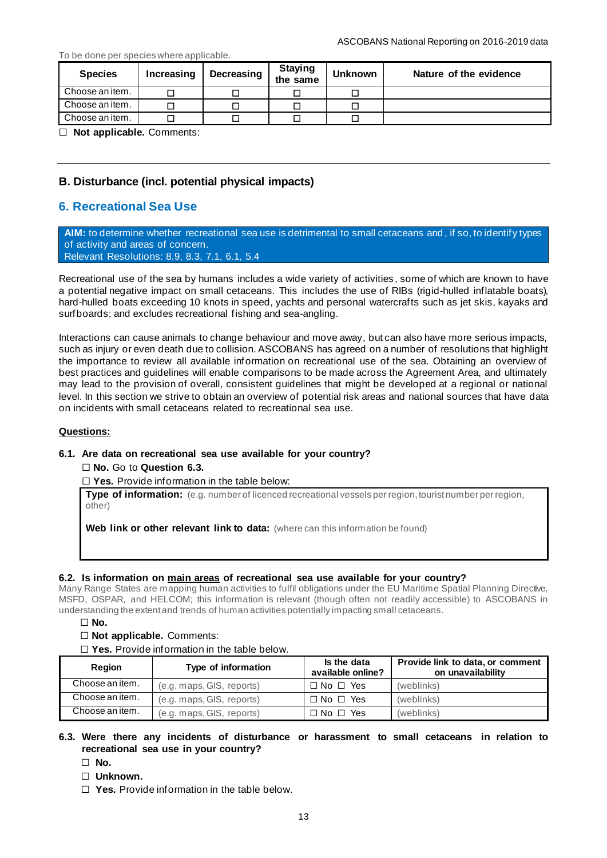#### To be done per species where applicable.

| <b>Species</b>  | Increasing | Decreasing | <b>Staying</b><br>the same | <b>Unknown</b> | Nature of the evidence |
|-----------------|------------|------------|----------------------------|----------------|------------------------|
| Choose an item. |            |            |                            |                |                        |
| Choose an item. |            |            |                            |                |                        |
| Choose an item. |            |            |                            |                |                        |

☐ **Not applicable.** Comments:

# **B. Disturbance (incl. potential physical impacts)**

# **6. Recreational Sea Use**

**AIM:** to determine whether recreational sea use is detrimental to small cetaceans and , if so, to identify types of activity and areas of concern. Relevant Resolutions: [8.9,](https://www.ascobans.org/en/document/managing-cumulative-anthropogenic-impacts-marine-environment-0) [8.3,](https://www.ascobans.org/en/document/revision-recovery-plan-baltic-harbour-porpoises-jastarnia-plan) [7.1,](https://www.ascobans.org/en/document/conservation-harbour-porpoises-and-adoption-conservation-plan-western-baltic-belt-sea-and) [6.1,](https://www.ascobans.org/en/document/adoption-and-implementation-jastarnia-and-north-sea-plans) [5.4](https://www.ascobans.org/en/document/adverse-effects-sound-vessels-and-other-forms-disturbance-small-cetaceans)

Recreational use of the sea by humans includes a wide variety of activities , some of which are known to have a potential negative impact on small cetaceans. This includes the use of RIBs (rigid-hulled inflatable boats), hard-hulled boats exceeding 10 knots in speed, yachts and personal watercrafts such as jet skis, kayaks and surfboards; and excludes recreational fishing and sea-angling.

Interactions can cause animals to change behaviour and move away, but can also have more serious impacts, such as injury or even death due to collision. ASCOBANS has agreed on a number of resolutions that highlight the importance to review all available information on recreational use of the sea. Obtaining an overview of best practices and guidelines will enable comparisons to be made across the Agreement Area, and ultimately may lead to the provision of overall, consistent guidelines that might be developed at a regional or national level. In this section we strive to obtain an overview of potential risk areas and national sources that have data on incidents with small cetaceans related to recreational sea use.

#### **Questions:**

#### **6.1. Are data on recreational sea use available for your country?**

☐ **No.** Go to **Question 6.3.**

☐ **Yes.** Provide information in the table below:

**Type of information:** (e.g. number of licenced recreational vessels per region, tourist number per region, other)

**Web link or other relevant link to data:** (where can this information be found)

#### **6.2. Is information on main areas of recreational sea use available for your country?**

Many Range States are mapping human activities to fulfil obligations under the EU Maritime Spatial Planning Directive, MSFD, OSPAR, and HELCOM; this information is relevant (though often not readily accessible) to ASCOBANS in understanding the extent and trends of human activities potentially impacting small cetaceans.

☐ **No.**

#### ☐ **Not applicable.** Comments:

☐ **Yes.** Provide information in the table below.

| Region          | Type of information       | Is the data<br>available online? | Provide link to data, or comment<br>on unavailability |
|-----------------|---------------------------|----------------------------------|-------------------------------------------------------|
| Choose an item. | (e.g. maps, GIS, reports) | $\Box$ No $\Box$ Yes             | (weblinks)                                            |
| Choose an item. | (e.g. maps, GIS, reports) | $\Box$ No $\Box$ Yes             | (weblinks)                                            |
| Choose an item. | (e.g. maps, GIS, reports) | $\Box$ No $\Box$ Yes             | (weblinks)                                            |

# **6.3. Were there any incidents of disturbance or harassment to small cetaceans in relation to recreational sea use in your country?**

- ☐ **No.**
- ☐ **Unknown.**
- ☐ **Yes.** Provide information in the table below.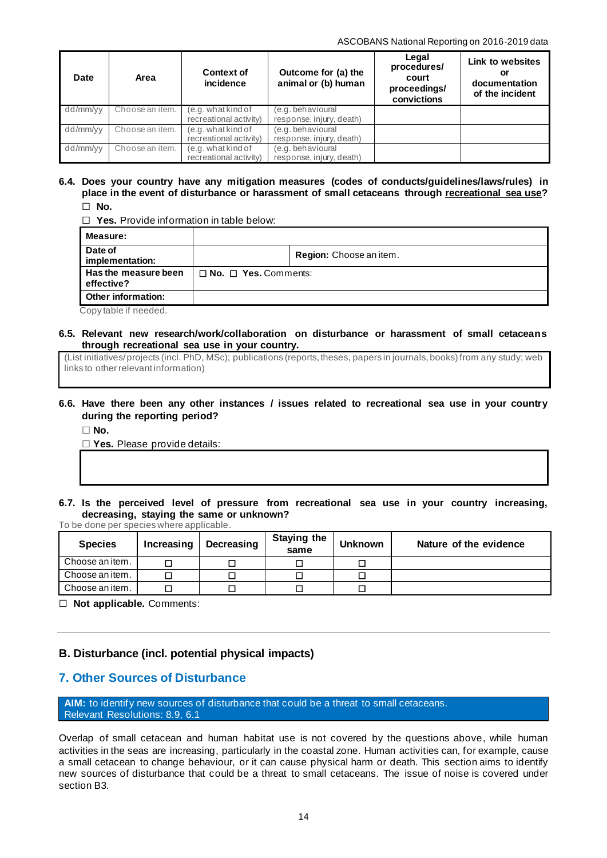| Date     | Area            | <b>Context of</b><br>incidence | Outcome for (a) the<br>animal or (b) human | Legal<br>procedures/<br>court<br>proceedings/<br>convictions | Link to websites<br>or<br>documentation<br>of the incident |  |
|----------|-----------------|--------------------------------|--------------------------------------------|--------------------------------------------------------------|------------------------------------------------------------|--|
| dd/mm/yy | Choose an item. | (e.g. what kind of             | (e.g. behavioural                          |                                                              |                                                            |  |
|          |                 | recreational activity)         | response, injury, death)                   |                                                              |                                                            |  |
| dd/mm/yy | Choose an item. | (e.g. what kind of             | (e.g. behavioural                          |                                                              |                                                            |  |
|          |                 | recreational activity)         | response, injury, death)                   |                                                              |                                                            |  |
| dd/mm/yy | Choose an item. | (e.g. what kind of             | (e.g. behavioural                          |                                                              |                                                            |  |
|          |                 | recreational activity)         | response, injury, death)                   |                                                              |                                                            |  |

### **6.4. Does your country have any mitigation measures (codes of conducts/guidelines/laws/rules) in place in the event of disturbance or harassment of small cetaceans through recreational sea use?** ☐ **No.**

☐ **Yes.** Provide information in table below:

| Measure:                           |                                  |                         |
|------------------------------------|----------------------------------|-------------------------|
| Date of<br>implementation:         |                                  | Region: Choose an item. |
| Has the measure been<br>effective? | $\Box$ No. $\Box$ Yes. Comments: |                         |
| Other information:                 |                                  |                         |
| Copy table if needed.              |                                  |                         |

#### **6.5. Relevant new research/work/collaboration on disturbance or harassment of small cetaceans through recreational sea use in your country.**

(List initiatives/ projects (incl. PhD, MSc); publications (reports, theses, papers in journals, books) from any study; web links to other relevant information)

# **6.6. Have there been any other instances / issues related to recreational sea use in your country during the reporting period?**

☐ **No.**

☐ **Yes.** Please provide details:

**6.7. Is the perceived level of pressure from recreational sea use in your country increasing, decreasing, staying the same or unknown?** To be done per species where applicable.

| <b>Species</b>  | Increasing | Decreasing | <b>Staying the</b><br>same | <b>Unknown</b> | Nature of the evidence |
|-----------------|------------|------------|----------------------------|----------------|------------------------|
| Choose an item. |            |            |                            |                |                        |
| Choose an item. |            |            |                            |                |                        |
| Choose an item. |            |            |                            |                |                        |

☐ **Not applicable.** Comments:

# **B. Disturbance (incl. potential physical impacts)**

# **7. Other Sources of Disturbance**

**AIM:** to identify new sources of disturbance that could be a threat to small cetaceans. Relevant Resolutions: [8.9,](https://www.ascobans.org/en/document/managing-cumulative-anthropogenic-impacts-marine-environment-0) [6.1](https://www.ascobans.org/en/document/adoption-and-implementation-jastarnia-and-north-sea-plans)

Overlap of small cetacean and human habitat use is not covered by the questions above, while human activities in the seas are increasing, particularly in the coastal zone. Human activities can, for example, cause a small cetacean to change behaviour, or it can cause physical harm or death. This section aims to identify new sources of disturbance that could be a threat to small cetaceans. The issue of noise is covered under section B3.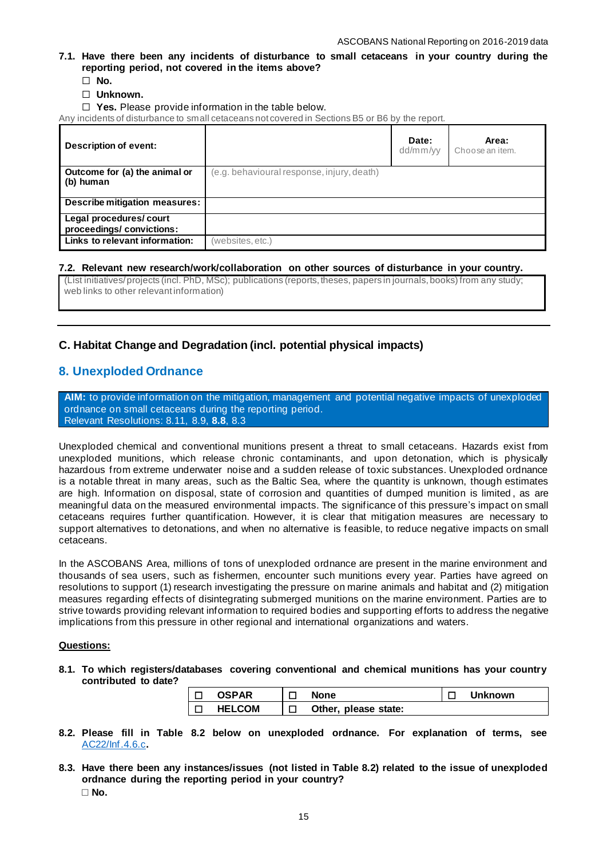**7.1. Have there been any incidents of disturbance to small cetaceans in your country during the reporting period, not covered in the items above?**

☐ **No.**

- ☐ **Unknown.**
- □ Yes. Please provide information in the table below.

Any incidents of disturbance to small cetaceans not covered in Sections B5 or B6 by the report.

| Description of event:                              |                                            | Date:<br>dd/mm/vv | Area:<br>Choose an item. |
|----------------------------------------------------|--------------------------------------------|-------------------|--------------------------|
| Outcome for (a) the animal or<br>(b) human         | (e.g. behavioural response, injury, death) |                   |                          |
| Describe mitigation measures:                      |                                            |                   |                          |
| Legal procedures/court<br>proceedings/convictions: |                                            |                   |                          |
| Links to relevant information:                     | (websites, etc.)                           |                   |                          |

#### **7.2. Relevant new research/work/collaboration on other sources of disturbance in your country.**

(List initiatives/ projects (incl. PhD, MSc); publications (reports, theses, papers in journals, books) from any study; web links to other relevant information)

# **C. Habitat Change and Degradation (incl. potential physical impacts)**

# **8. Unexploded Ordnance**

**AIM:** to provide information on the mitigation, management and potential negative impacts of unexploded ordnance on small cetaceans during the reporting period. Relevant Resolutions: [8.11,](https://www.ascobans.org/en/document/cms-family-guidelines-environmental-impact-assessments-marine-noise-generating-activities-0) [8.9,](https://www.ascobans.org/en/document/managing-cumulative-anthropogenic-impacts-marine-environment-0) **[8.8](https://www.ascobans.org/en/document/addressing-threats-underwater-munitions)**, [8.3](https://www.ascobans.org/en/document/revision-recovery-plan-baltic-harbour-porpoises-jastarnia-plan)

Unexploded chemical and conventional munitions present a threat to small cetaceans. Hazards exist from unexploded munitions, which release chronic contaminants, and upon detonation, which is physically hazardous from extreme underwater noise and a sudden release of toxic substances. Unexploded ordnance is a notable threat in many areas, such as the Baltic Sea, where the quantity is unknown, though estimates are high. Information on disposal, state of corrosion and quantities of dumped munition is limited , as are meaningful data on the measured environmental impacts. The significance of this pressure's impact on small cetaceans requires further quantification. However, it is clear that mitigation measures are necessary to support alternatives to detonations, and when no alternative is feasible, to reduce negative impacts on small cetaceans.

In the ASCOBANS Area, millions of tons of unexploded ordnance are present in the marine environment and thousands of sea users, such as fishermen, encounter such munitions every year. Parties have agreed on resolutions to support (1) research investigating the pressure on marine animals and habitat and (2) mitigation measures regarding effects of disintegrating submerged munitions on the marine environment. Parties are to strive towards providing relevant information to required bodies and supporting efforts to address the negative implications from this pressure in other regional and international organizations and waters.

#### **Questions:**

**8.1. To which registers/databases covering conventional and chemical munitions has your country contributed to date?**

| <b>OSPAR</b>  | <b>None</b>          | <b>Unknown</b> |
|---------------|----------------------|----------------|
| <b>HELCOM</b> | Other, please state: |                |

- **8.2. Please fill in Table 8.2 below on unexploded ordnance. For explanation of terms, see** [AC22/Inf.4.6.c](http://www.ascobans.org/sites/default/files/document/AC22_Inf_4.6.c_OSPAR_MunitionsRec2010.pdf)**.**
- **8.3. Have there been any instances/issues (not listed in Table 8.2) related to the issue of unexploded ordnance during the reporting period in your country?** ☐ **No.**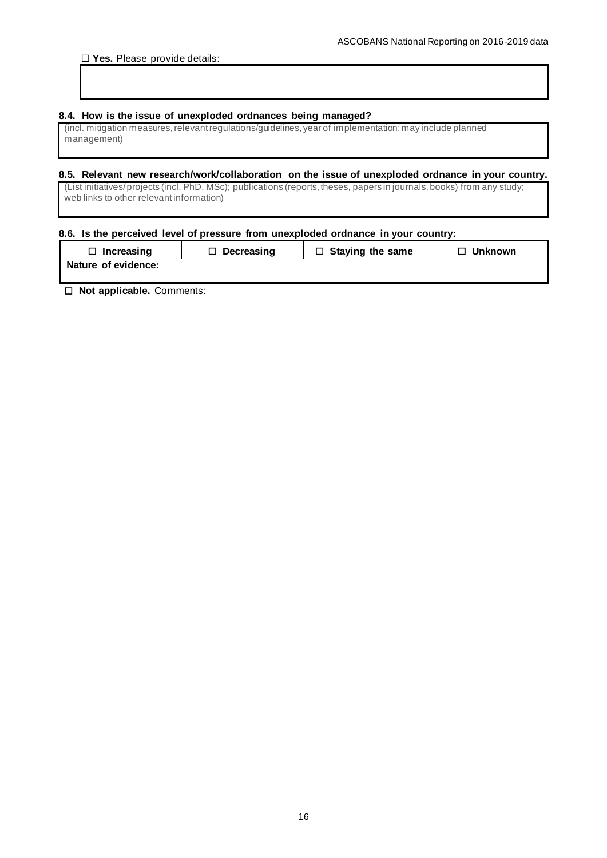## **8.4. How is the issue of unexploded ordnances being managed?**

(incl. mitigation measures, relevant regulations/guidelines, year of implementation; may include planned management)

# **8.5. Relevant new research/work/collaboration on the issue of unexploded ordnance in your country.**

(List initiatives/ projects (incl. PhD, MSc); publications (reports, theses, papers in journals, books) from any study; web links to other relevant information)

## **8.6. Is the perceived level of pressure from unexploded ordnance in your country:**

| $\Box$ Increasing   | $\Box$ Decreasing | $\Box$ Staying the same | $\Box$ Unknown |
|---------------------|-------------------|-------------------------|----------------|
| Nature of evidence: |                   |                         |                |

☐ **Not applicable.** Comments: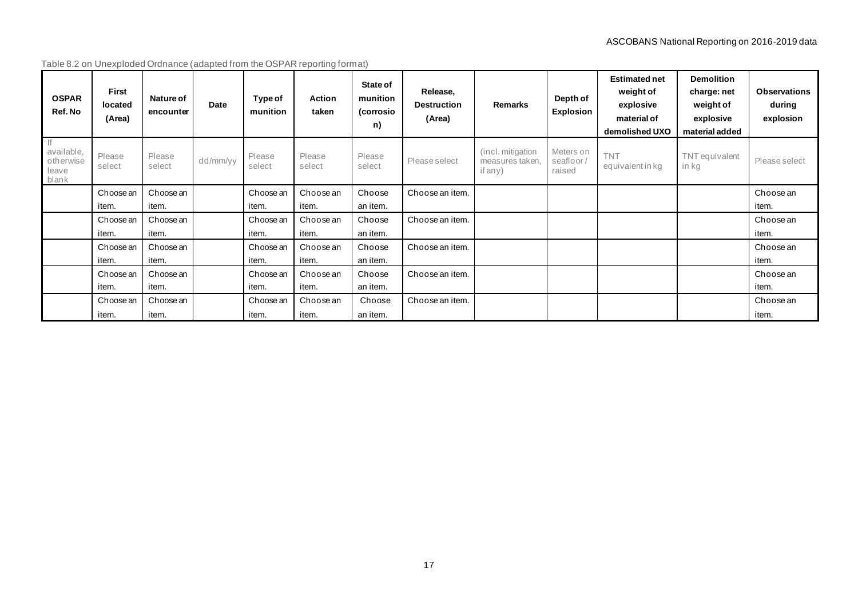| Table 8.2 on Unexploded Ordnance (adapted from the OSPAR reporting format) |  |
|----------------------------------------------------------------------------|--|
|                                                                            |  |

| <b>OSPAR</b><br>Ref. No                         | <b>First</b><br>located<br>(Area) | Nature of<br>encounter | Date     | Type of<br>munition | <b>Action</b><br>taken | State of<br>munition<br>(corrosio<br>n) | Release,<br><b>Destruction</b><br>(Area) | <b>Remarks</b>                                   | Depth of<br><b>Explosion</b>    | <b>Estimated net</b><br>weight of<br>explosive<br>material of<br>demolished UXO | <b>Demolition</b><br>charge: net<br>weight of<br>explosive<br>material added | <b>Observations</b><br>during<br>explosion |
|-------------------------------------------------|-----------------------------------|------------------------|----------|---------------------|------------------------|-----------------------------------------|------------------------------------------|--------------------------------------------------|---------------------------------|---------------------------------------------------------------------------------|------------------------------------------------------------------------------|--------------------------------------------|
| lf<br>available,<br>otherwise<br>leave<br>blank | Please<br>select                  | Please<br>select       | dd/mm/yy | Please<br>select    | Please<br>select       | Please<br>select                        | Please select                            | (incl. mitigation)<br>measures taken.<br>if any) | Meters on<br>seafloor<br>raised | <b>TNT</b><br>equivalent in kg                                                  | TNT equivalent<br>in kg                                                      | Please select                              |
|                                                 | Choose an                         | Choose an              |          | Choose an           | Choose an              | Choose                                  | Choose an item.                          |                                                  |                                 |                                                                                 |                                                                              | Choose an                                  |
|                                                 | item.                             | item.                  |          | item.               | item.                  | an item.                                |                                          |                                                  |                                 |                                                                                 |                                                                              | item.                                      |
|                                                 | Choose an                         | Choose an              |          | Choose an           | Choose an              | Choose                                  | Choose an item.                          |                                                  |                                 |                                                                                 |                                                                              | Choose an                                  |
|                                                 | item.                             | item.                  |          | item.               | item.                  | an item.                                |                                          |                                                  |                                 |                                                                                 |                                                                              | item.                                      |
|                                                 | Choose an                         | Choose an              |          | Choose an           | Choose an              | Choose                                  | Choose an item.                          |                                                  |                                 |                                                                                 |                                                                              | Choose an                                  |
|                                                 | item.                             | item.                  |          | item.               | item.                  | an item.                                |                                          |                                                  |                                 |                                                                                 |                                                                              | item.                                      |
|                                                 | Choose an                         | Choose an              |          | Choose an           | Choose an              | Choose                                  | Choose an item.                          |                                                  |                                 |                                                                                 |                                                                              | Choose an                                  |
|                                                 | item.                             | item.                  |          | item.               | item.                  | an item.                                |                                          |                                                  |                                 |                                                                                 |                                                                              | item.                                      |
|                                                 | Choose an                         | Choose an              |          | Choose an           | Choose an              | Choose                                  | Choose an item.                          |                                                  |                                 |                                                                                 |                                                                              | Choose an                                  |
|                                                 | item.                             | item.                  |          | item.               | item.                  | an item.                                |                                          |                                                  |                                 |                                                                                 |                                                                              | item.                                      |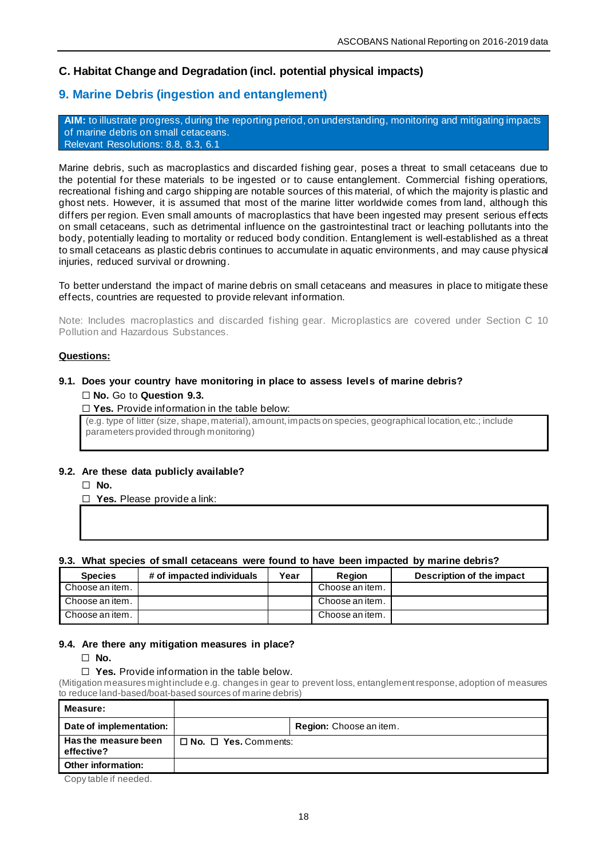# **C. Habitat Change and Degradation (incl. potential physical impacts)**

# **9. Marine Debris (ingestion and entanglement)**

**AIM:** to illustrate progress, during the reporting period, on understanding, monitoring and mitigating impacts of marine debris on small cetaceans. Relevant Resolutions: [8.8,](https://www.ascobans.org/en/document/addressing-threats-underwater-munitions) [8.3,](https://www.ascobans.org/en/document/revision-recovery-plan-baltic-harbour-porpoises-jastarnia-plan) [6.1](https://www.ascobans.org/en/document/adoption-and-implementation-jastarnia-and-north-sea-plans)

Marine debris, such as macroplastics and discarded fishing gear, poses a threat to small cetaceans due to the potential for these materials to be ingested or to cause entanglement. Commercial fishing operations, recreational fishing and cargo shipping are notable sources of this material, of which the majority is plastic and ghost nets. However, it is assumed that most of the marine litter worldwide comes from land, although this differs per region. Even small amounts of macroplastics that have been ingested may present serious effects on small cetaceans, such as detrimental influence on the gastrointestinal tract or leaching pollutants into the body, potentially leading to mortality or reduced body condition. Entanglement is well-established as a threat to small cetaceans as plastic debris continues to accumulate in aquatic environments, and may cause physical injuries, reduced survival or drowning.

To better understand the impact of marine debris on small cetaceans and measures in place to mitigate these effects, countries are requested to provide relevant information.

Note: Includes macroplastics and discarded fishing gear. Microplastics are covered under Section C 10 Pollution and Hazardous Substances.

#### **Questions:**

# **9.1. Does your country have monitoring in place to assess levels of marine debris?**

# ☐ **No.** Go to **Question 9.3.**

□ **Yes.** Provide information in the table below:

(e.g. type of litter (size, shape, material), amount, impacts on species, geographical location, etc.; include parameters provided through monitoring)

#### **9.2. Are these data publicly available?**

☐ **No.**

☐ **Yes.** Please provide a link:

#### **9.3. What species of small cetaceans were found to have been impacted by marine debris?**

| <b>Species</b>  | # of impacted individuals | Year | <b>Region</b>   | Description of the impact |
|-----------------|---------------------------|------|-----------------|---------------------------|
| Choose an item. |                           |      | Choose an item. |                           |
| Choose an item. |                           |      | Choose an item. |                           |
| Choose an item. |                           |      | Choose an item. |                           |

#### **9.4. Are there any mitigation measures in place?**

☐ **No.**

#### ☐ **Yes.** Provide information in the table below.

(Mitigation measures might include e.g. changes in gear to prevent loss, entanglement response, adoption of measures to reduce land-based/boat-based sources of marine debris)

| <b>Measure:</b>                    |                                  |                                |
|------------------------------------|----------------------------------|--------------------------------|
| Date of implementation:            |                                  | <b>Region:</b> Choose an item. |
| Has the measure been<br>effective? | $\Box$ No. $\Box$ Yes. Comments: |                                |
| Other information:                 |                                  |                                |

Copy table if needed.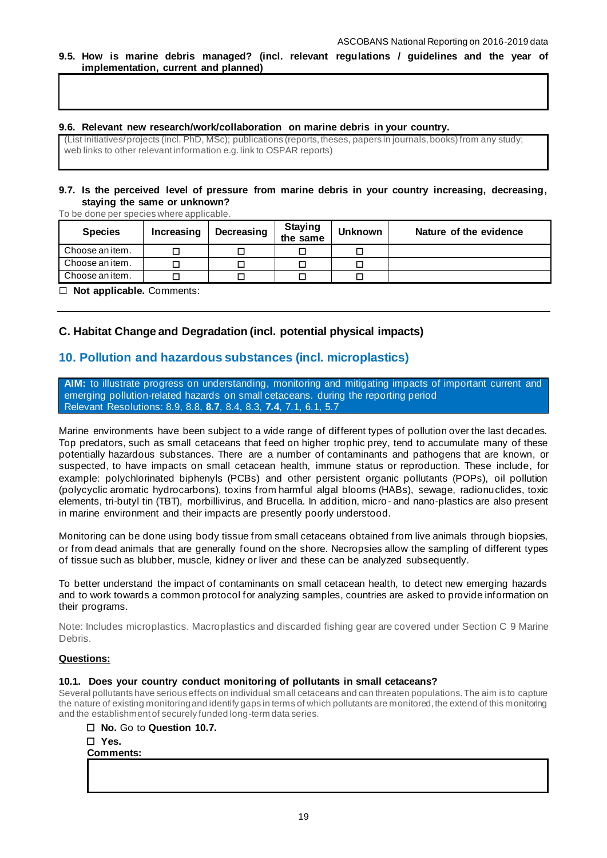**9.5. How is marine debris managed? (incl. relevant regulations / guidelines and the year of implementation, current and planned)**

## **9.6. Relevant new research/work/collaboration on marine debris in your country.**

(List initiatives/ projects (incl. PhD, MSc); publications (reports, theses, papers in journals, books) from any study; web links to other relevant information e.g. link to OSPAR reports)

## **9.7. Is the perceived level of pressure from marine debris in your country increasing, decreasing, staying the same or unknown?**

To be done per species where applicable.

| <b>Species</b>  | Increasing | Decreasing | <b>Staying</b><br>the same | <b>Unknown</b> | Nature of the evidence |
|-----------------|------------|------------|----------------------------|----------------|------------------------|
| Choose an item. |            |            |                            |                |                        |
| Choose an item. |            |            |                            |                |                        |
| Choose an item. |            |            |                            |                |                        |
|                 |            |            |                            |                |                        |

☐ **Not applicable.** Comments:

# **C. Habitat Change and Degradation (incl. potential physical impacts)**

# **10. Pollution and hazardous substances (incl. microplastics)**

**AIM:** to illustrate progress on understanding, monitoring and mitigating impacts of important current and emerging pollution-related hazards on small cetaceans. during the reporting period Relevant Resolutions: [8.9,](https://www.ascobans.org/en/document/managing-cumulative-anthropogenic-impacts-marine-environment-0) [8.8,](https://www.ascobans.org/en/document/addressing-threats-underwater-munitions) **[8.7](https://www.ascobans.org/en/document/impacts-polychlorinated-biphenyls-pcbs)**, [8.4,](https://www.ascobans.org/en/document/conservation-common-dolphins) [8.3,](https://www.ascobans.org/en/document/revision-recovery-plan-baltic-harbour-porpoises-jastarnia-plan) **[7.4](https://www.ascobans.org/en/document/impacts-chemical-pollution-small-cetaceans)**, [7.1,](https://www.ascobans.org/en/document/conservation-harbour-porpoises-and-adoption-conservation-plan-western-baltic-belt-sea-and) [6.1,](https://www.ascobans.org/en/document/adoption-and-implementation-jastarnia-and-north-sea-plans) [5.7](https://www.ascobans.org/en/document/research-habitat-quality-health-and-status-small-cetaceans-agreement-area)

Marine environments have been subject to a wide range of different types of pollution over the last decades. Top predators, such as small cetaceans that feed on higher trophic prey, tend to accumulate many of these potentially hazardous substances. There are a number of contaminants and pathogens that are known, or suspected, to have impacts on small cetacean health, immune status or reproduction. These include, for example: polychlorinated biphenyls (PCBs) and other persistent organic pollutants (POPs), oil pollution (polycyclic aromatic hydrocarbons), toxins from harmful algal blooms (HABs), sewage, radionuclides, toxic elements, tri-butyl tin (TBT), morbillivirus, and Brucella. In addition, micro- and nano-plastics are also present in marine environment and their impacts are presently poorly understood.

Monitoring can be done using body tissue from small cetaceans obtained from live animals through biopsies, or from dead animals that are generally found on the shore. Necropsies allow the sampling of different types of tissue such as blubber, muscle, kidney or liver and these can be analyzed subsequently.

To better understand the impact of contaminants on small cetacean health, to detect new emerging hazards and to work towards a common protocol for analyzing samples, countries are asked to provide information on their programs.

Note: Includes microplastics. Macroplastics and discarded fishing gear are covered under Section C 9 Marine Debris.

## **Questions:**

#### **10.1. Does your country conduct monitoring of pollutants in small cetaceans?**

Several pollutants have serious effects on individual small cetaceans and can threaten populations. The aim is to capture the nature of existing monitoring and identify gaps in terms of which pollutants are monitored, the extend of this monitoring and the establishment of securely funded long-term data series.

|  |  |  |  | $\Box$ No. Go to Question 10.7. |  |
|--|--|--|--|---------------------------------|--|
|--|--|--|--|---------------------------------|--|

## ☐ **Yes. Comments:**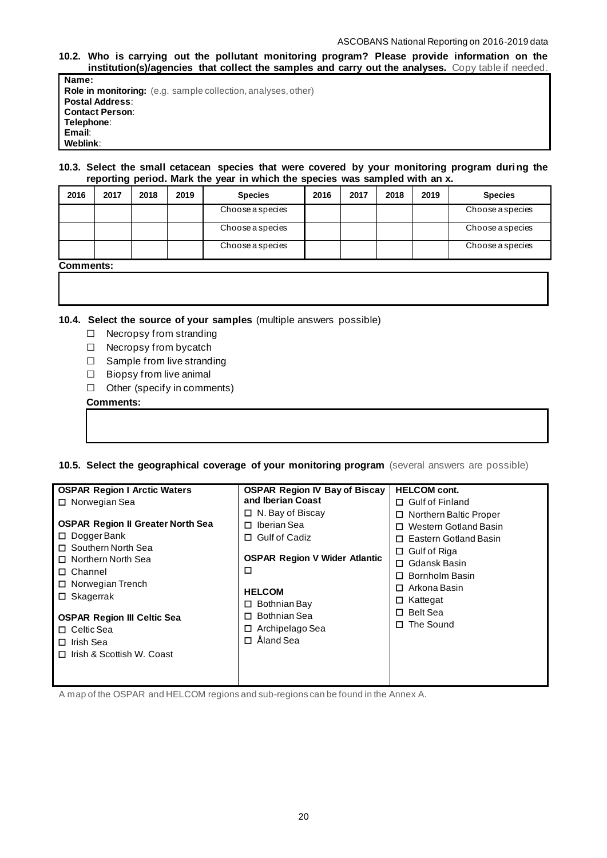#### ASCOBANS National Reporting on 2016-2019 data

## **10.2. Who is carrying out the pollutant monitoring program? Please provide information on the institution(s)/agencies that collect the samples and carry out the analyses.** Copy table if needed.

**Name: Role in monitoring:** (e.g. sample collection, analyses, other) **Postal Address**: **Contact Person**: **Telephone**: **Email**: **Weblink**:

#### **10.3. Select the small cetacean species that were covered by your monitoring program during the reporting period. Mark the year in which the species was sampled with an x.**

| 2016             | 2017 | 2018 | 2019 | <b>Species</b>   | 2016 | 2017 | 2018 | 2019 | <b>Species</b>          |
|------------------|------|------|------|------------------|------|------|------|------|-------------------------|
|                  |      |      |      | Choose a species |      |      |      |      | <b>Choose a species</b> |
|                  |      |      |      | Choose a species |      |      |      |      | Choose a species        |
|                  |      |      |      | Choose a species |      |      |      |      | Choose a species        |
| <b>Comments:</b> |      |      |      |                  |      |      |      |      |                         |

**10.4. Select the source of your samples** (multiple answers possible)

- ☐ Necropsy from stranding
- ☐ Necropsy from bycatch
- ☐ Sample from live stranding
- ☐ Biopsy from live animal
- ☐ Other (specify in comments)

#### **Comments:**

## **10.5. Select the geographical coverage of your monitoring program** (several answers are possible)

| <b>OSPAR Region I Arctic Waters</b>      | <b>OSPAR Region IV Bay of Biscay</b> | <b>HELCOM cont.</b>         |
|------------------------------------------|--------------------------------------|-----------------------------|
| □ Norwegian Sea                          | and Iberian Coast                    | $\Box$ Gulf of Finland      |
|                                          | $\Box$ N. Bay of Biscay              | Northern Baltic Proper<br>0 |
| <b>OSPAR Region II Greater North Sea</b> | Iberian Sea<br>п                     | Western Gotland Basin       |
| $\Box$ Dogger Bank                       | <b>Gulf of Cadiz</b><br>П.           | Eastern Gotland Basin       |
| □ Southern North Sea                     |                                      | $\Box$ Gulf of Riga         |
| □ Northern North Sea                     | <b>OSPAR Region V Wider Atlantic</b> | Gdansk Basin<br>0           |
| $\Box$ Channel                           | □                                    | Bornholm Basin              |
| □ Norwegian Trench                       |                                      | Arkona Basin<br>0           |
| $\Box$ Skagerrak                         | <b>HELCOM</b>                        | $\Box$ Kattegat             |
|                                          | Bothnian Bay<br>П.                   | <b>Belt Sea</b><br>n.       |
| <b>OSPAR Region III Celtic Sea</b>       | Bothnian Sea<br>П                    |                             |
| $\Box$ Celtic Sea                        | Archipelago Sea<br>□                 | The Sound<br>П.             |
| $\Box$ Irish Sea                         | Åland Sea<br>п                       |                             |
| $\Box$ Irish & Scottish W. Coast         |                                      |                             |
|                                          |                                      |                             |
|                                          |                                      |                             |

A map of the OSPAR and HELCOM regions and sub-regions can be found in the Annex A.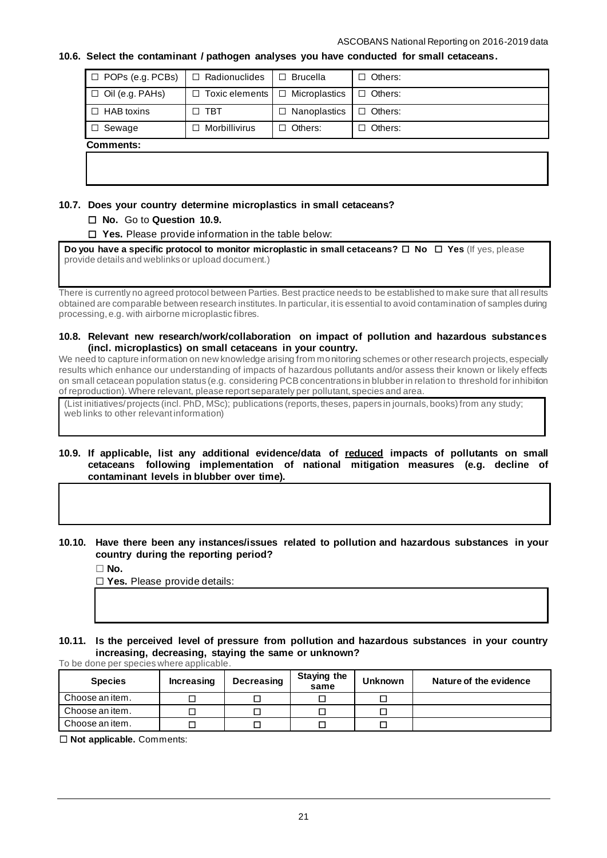## **10.6. Select the contaminant / pathogen analyses you have conducted for small cetaceans.**

| $\Box$ POPs (e.g. PCBs) | $\Box$ Radionuclides  | $\Box$ Brucella      | Others:<br>П   |
|-------------------------|-----------------------|----------------------|----------------|
| $\Box$ Oil (e.g. PAHs)  | $\Box$ Toxic elements | $\Box$ Microplastics | $\Box$ Others: |
| $\Box$ HAB toxins       | $\Box$ TBT            | $\Box$ Nanoplastics  | $\Box$ Others: |
| Sewage<br>$\Box$        | Morbillivirus<br>п    | $\Box$ Others:       | Others:<br>П   |
| Comments:               |                       |                      |                |
|                         |                       |                      |                |

# **10.7. Does your country determine microplastics in small cetaceans?**

# ☐ **No.** Go to **Question 10.9.**

☐ **Yes.** Please provide information in the table below:

**Do you have a specific protocol to monitor microplastic in small cetaceans?** ☐ **No** ☐ **Yes** (If yes, please provide details and weblinks or upload document.)

There is currently no agreed protocol between Parties. Best practice needs to be established to make sure that all results obtained are comparable between research institutes. In particular, it is essential to avoid contamination of samples during processing, e.g. with airborne microplastic fibres.

#### **10.8. Relevant new research/work/collaboration on impact of pollution and hazardous substances (incl. microplastics) on small cetaceans in your country.**

We need to capture information on new knowledge arising from monitoring schemes or other research projects, especially results which enhance our understanding of impacts of hazardous pollutants and/or assess their known or likely effects on small cetacean population status (e.g. considering PCB concentrations in blubber in relation to threshold for inhibition of reproduction). Where relevant, please report separately per pollutant, species and area.

(List initiatives/ projects (incl. PhD, MSc); publications (reports, theses, papers in journals, books) from any study; web links to other relevant information)

#### **10.9. If applicable, list any additional evidence/data of reduced impacts of pollutants on small cetaceans following implementation of national mitigation measures (e.g. decline of contaminant levels in blubber over time).**

# **10.10. Have there been any instances/issues related to pollution and hazardous substances in your country during the reporting period?**

☐ **No.**

☐ **Yes.** Please provide details:

**10.11. Is the perceived level of pressure from pollution and hazardous substances in your country increasing, decreasing, staying the same or unknown?** To be done per species where applicable.

| <b>Species</b>  | Increasing | <b>Decreasing</b> | <b>Staying the</b><br>same | <b>Unknown</b> | Nature of the evidence |
|-----------------|------------|-------------------|----------------------------|----------------|------------------------|
| Choose an item. |            |                   |                            |                |                        |
| Choose an item. |            |                   |                            |                |                        |
| Choose an item. |            |                   |                            |                |                        |

☐ **Not applicable.** Comments: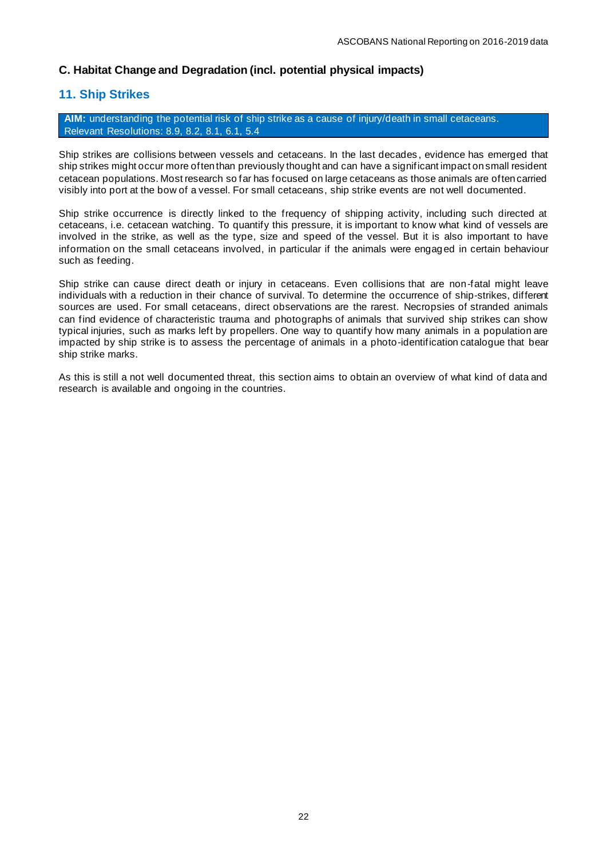# **C. Habitat Change and Degradation (incl. potential physical impacts)**

# **11. Ship Strikes**

**AIM:** understanding the potential risk of ship strike as a cause of injury/death in small cetaceans. Relevant Resolutions: [8.9,](https://www.ascobans.org/en/document/managing-cumulative-anthropogenic-impacts-marine-environment-0) [8.2,](https://www.ascobans.org/en/document/work-plan-ascobans-advisory-committee-and-secretariat-2017-2020-and-strategic-plan-0) [8.1,](https://www.ascobans.org/en/document/national-reporting) [6.1,](https://www.ascobans.org/en/document/adoption-and-implementation-jastarnia-and-north-sea-plans) [5.4](https://www.ascobans.org/en/document/adverse-effects-sound-vessels-and-other-forms-disturbance-small-cetaceans)

Ship strikes are collisions between vessels and cetaceans. In the last decades , evidence has emerged that ship strikes might occur more often than previously thought and can have a significant impact on small resident cetacean populations. Most research so far has focused on large cetaceans as those animals are often carried visibly into port at the bow of a vessel. For small cetaceans, ship strike events are not well documented.

Ship strike occurrence is directly linked to the frequency of shipping activity, including such directed at cetaceans, i.e. cetacean watching. To quantify this pressure, it is important to know what kind of vessels are involved in the strike, as well as the type, size and speed of the vessel. But it is also important to have information on the small cetaceans involved, in particular if the animals were engaged in certain behaviour such as feeding.

Ship strike can cause direct death or injury in cetaceans. Even collisions that are non-fatal might leave individuals with a reduction in their chance of survival. To determine the occurrence of ship-strikes, different sources are used. For small cetaceans, direct observations are the rarest. Necropsies of stranded animals can find evidence of characteristic trauma and photographs of animals that survived ship strikes can show typical injuries, such as marks left by propellers. One way to quantify how many animals in a population are impacted by ship strike is to assess the percentage of animals in a photo-identification catalogue that bear ship strike marks.

As this is still a not well documented threat, this section aims to obtain an overview of what kind of data and research is available and ongoing in the countries.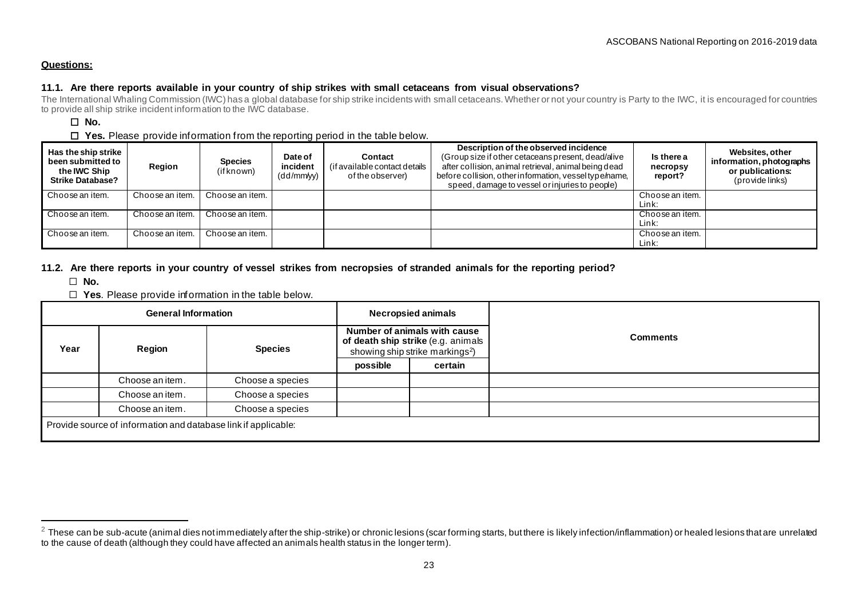## **Questions:**

# **11.1. Are there reports available in your country of ship strikes with small cetaceans from visual observations?**

The International Whaling Commission (IWC) has a global database for ship strike incidents with small cetaceans. Whether or not your country is Party to the IWC, it is encouraged for countries to provide all ship strike incident information to the IWC database.

# ☐ **No.**

## ☐ **Yes.** Please provide information from the reporting period in the table below.

| Has the ship strike<br>been submitted to<br>the IWC Ship<br><b>Strike Database?</b> | Region          | <b>Species</b><br>(if known) | Date of<br>incident<br>(dd/mm/yy) | Contact<br>(if available contact details<br>of the observer) | Description of the observed incidence<br>(Group size if other cetaceans present, dead/alive<br>after collision, animal retrieval, animal being dead<br>before collision, other information, vessel type/name,<br>speed, damage to vessel or injuries to people) | Is there a<br>necropsy<br>report? | Websites, other<br>information, photographs<br>or publications:<br>(provide links) |
|-------------------------------------------------------------------------------------|-----------------|------------------------------|-----------------------------------|--------------------------------------------------------------|-----------------------------------------------------------------------------------------------------------------------------------------------------------------------------------------------------------------------------------------------------------------|-----------------------------------|------------------------------------------------------------------------------------|
| Choose an item.                                                                     | Choose an item. | Choose an item.              |                                   |                                                              |                                                                                                                                                                                                                                                                 | Choose an item.                   |                                                                                    |
|                                                                                     |                 |                              |                                   |                                                              |                                                                                                                                                                                                                                                                 | Link:                             |                                                                                    |
| Choose an item.                                                                     | Choose an item. | Choose an item.              |                                   |                                                              |                                                                                                                                                                                                                                                                 | Choose an item.                   |                                                                                    |
|                                                                                     |                 |                              |                                   |                                                              |                                                                                                                                                                                                                                                                 | Link:                             |                                                                                    |
| Choose an item.                                                                     | Choose an item. | Choose an item.              |                                   |                                                              |                                                                                                                                                                                                                                                                 | Choose an item.                   |                                                                                    |
|                                                                                     |                 |                              |                                   |                                                              |                                                                                                                                                                                                                                                                 | Link:                             |                                                                                    |

## **11.2. Are there reports in your country of vessel strikes from necropsies of stranded animals for the reporting period?**

☐ **No.** 

☐ **Yes**. Please provide information in the table below.

| <b>General Information</b> |                                                                |                  | <b>Necropsied animals</b> |                                                                                                                   |                 |
|----------------------------|----------------------------------------------------------------|------------------|---------------------------|-------------------------------------------------------------------------------------------------------------------|-----------------|
| Year                       | Region                                                         | <b>Species</b>   |                           | Number of animals with cause<br>of death ship strike (e.g. animals<br>showing ship strike markings <sup>2</sup> ) | <b>Comments</b> |
|                            |                                                                |                  | possible                  | certain                                                                                                           |                 |
|                            | Choose an item.                                                | Choose a species |                           |                                                                                                                   |                 |
|                            | Choose an item.                                                | Choose a species |                           |                                                                                                                   |                 |
|                            | Choose an item.                                                | Choose a species |                           |                                                                                                                   |                 |
|                            | Provide source of information and database link if applicable: |                  |                           |                                                                                                                   |                 |

 $2$  These can be sub-acute (animal dies not immediately after the ship-strike) or chronic lesions (scar forming starts, but there is likely infection/inflammation) or healed lesions that are unrelated to the cause of death (although they could have affected an animals health status in the longer term).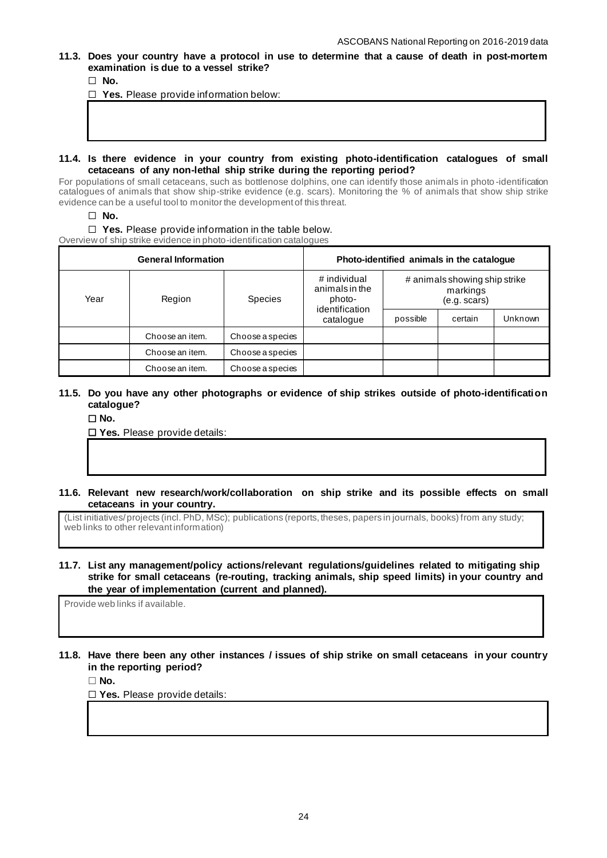**11.3. Does your country have a protocol in use to determine that a cause of death in post-mortem examination is due to a vessel strike?**

☐ **No.**

☐ **Yes.** Please provide information below:

# **11.4. Is there evidence in your country from existing photo-identification catalogues of small cetaceans of any non-lethal ship strike during the reporting period?**

For populations of small cetaceans, such as bottlenose dolphins, one can identify those animals in photo -identification catalogues of animals that show ship-strike evidence (e.g. scars). Monitoring the % of animals that show ship strike evidence can be a useful tool to monitor the development of this threat.

☐ **No.**

#### ☐ **Yes.** Please provide information in the table below.

Overview of ship strike evidence in photo-identification catalogues

|                | <b>General Information</b> |                  |                                                            | Photo-identified animals in the catalogue |                                                           |         |
|----------------|----------------------------|------------------|------------------------------------------------------------|-------------------------------------------|-----------------------------------------------------------|---------|
| Year<br>Region |                            | <b>Species</b>   | # individual<br>animals in the<br>photo-<br>identification |                                           | # animals showing ship strike<br>markings<br>(e.g. scars) |         |
|                |                            |                  | catalogue                                                  | possible                                  | certain                                                   | Unknown |
|                | Choose an item.            | Choose a species |                                                            |                                           |                                                           |         |
|                | Choose an item.            | Choose a species |                                                            |                                           |                                                           |         |
|                | Choose an item.            | Choose a species |                                                            |                                           |                                                           |         |

## **11.5. Do you have any other photographs or evidence of ship strikes outside of photo-identification catalogue?**

☐ **No.** 

☐ **Yes.** Please provide details:

**11.6. Relevant new research/work/collaboration on ship strike and its possible effects on small cetaceans in your country.**

(List initiatives/ projects (incl. PhD, MSc); publications (reports, theses, papers in journals, books) from any study; web links to other relevant information)

**11.7. List any management/policy actions/relevant regulations/guidelines related to mitigating ship strike for small cetaceans (re-routing, tracking animals, ship speed limits) in your country and the year of implementation (current and planned).**

Provide web links if available.

**11.8. Have there been any other instances / issues of ship strike on small cetaceans in your country in the reporting period?**

☐ **No.**

☐ **Yes.** Please provide details: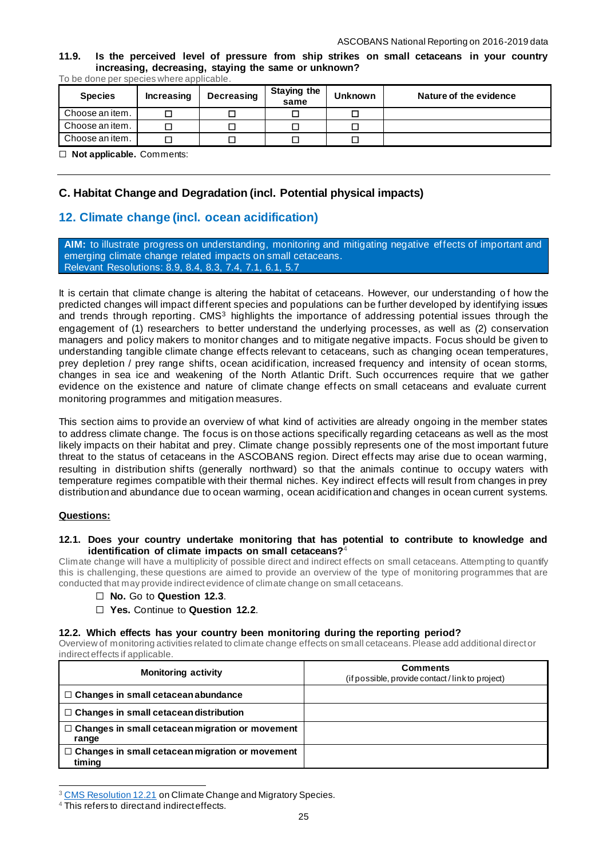**11.9. Is the perceived level of pressure from ship strikes on small cetaceans in your country increasing, decreasing, staying the same or unknown?**

To be done per species where applicable.

| <b>Species</b>                                  | <b>Increasing</b> | <b>Decreasing</b> | <b>Staying the</b><br>same | <b>Unknown</b> | Nature of the evidence |
|-------------------------------------------------|-------------------|-------------------|----------------------------|----------------|------------------------|
| Choose an item.                                 |                   | □                 |                            |                |                        |
| Choose an item.                                 |                   |                   |                            |                |                        |
| Choose an item.                                 |                   | П                 |                            |                |                        |
| $\Box$ Met enables the $\Omega$ can be externed |                   |                   |                            |                |                        |

☐ **Not applicable.** Comments:

# **C. Habitat Change and Degradation (incl. Potential physical impacts)**

# **12. Climate change (incl. ocean acidification)**

**AIM:** to illustrate progress on understanding, monitoring and mitigating negative effects of important and emerging climate change related impacts on small cetaceans. Relevant Resolutions: [8.9,](https://www.ascobans.org/en/document/managing-cumulative-anthropogenic-impacts-marine-environment-0) [8.4,](https://www.ascobans.org/en/document/conservation-common-dolphins) [8.3,](https://www.ascobans.org/en/document/revision-recovery-plan-baltic-harbour-porpoises-jastarnia-plan) [7.4,](https://www.ascobans.org/en/document/impacts-chemical-pollution-small-cetaceans) [7.1,](https://www.ascobans.org/en/document/conservation-harbour-porpoises-and-adoption-conservation-plan-western-baltic-belt-sea-and) [6.1,](https://www.ascobans.org/en/document/adoption-and-implementation-jastarnia-and-north-sea-plans.) [5.7](https://www.ascobans.org/en/document/research-habitat-quality-health-and-status-small-cetaceans-agreement-area) 

It is certain that climate change is altering the habitat of cetaceans. However, our understanding of how the predicted changes will impact different species and populations can be further developed by identifying issues and trends through reporting. CMS<sup>3</sup> highlights the importance of addressing potential issues through the engagement of (1) researchers to better understand the underlying processes, as well as (2) conservation managers and policy makers to monitor changes and to mitigate negative impacts. Focus should be given to understanding tangible climate change effects relevant to cetaceans, such as changing ocean temperatures, prey depletion / prey range shifts, ocean acidification, increased frequency and intensity of ocean storms, changes in sea ice and weakening of the North Atlantic Drift. Such occurrences require that we gather evidence on the existence and nature of climate change effects on small cetaceans and evaluate current monitoring programmes and mitigation measures.

This section aims to provide an overview of what kind of activities are already ongoing in the member states to address climate change. The focus is on those actions specifically regarding cetaceans as well as the most likely impacts on their habitat and prey. Climate change possibly represents one of the most important future threat to the status of cetaceans in the ASCOBANS region. Direct effects may arise due to ocean warming, resulting in distribution shifts (generally northward) so that the animals continue to occupy waters with temperature regimes compatible with their thermal niches. Key indirect effects will result from changes in prey distribution and abundance due to ocean warming, ocean acidification and changes in ocean current systems.

#### **Questions:**

#### **12.1. Does your country undertake monitoring that has potential to contribute to knowledge and identification of climate impacts on small cetaceans?**<sup>4</sup>

Climate change will have a multiplicity of possible direct and indirect effects on small cetaceans. Attempting to quantify this is challenging, these questions are aimed to provide an overview of the type of monitoring programmes that are conducted that may provide indirect evidence of climate change on small cetaceans.

- ☐ **No.** Go to **Question 12.3**.
- ☐ **Yes.** Continue to **Question 12.2**.

**12.2. Which effects has your country been monitoring during the reporting period?** 

Overview of monitoring activities related to climate change effects on small cetaceans. Please add additional direct or indirect effects if applicable.

| <b>Monitoring activity</b>                                       | <b>Comments</b><br>(if possible, provide contact / link to project) |
|------------------------------------------------------------------|---------------------------------------------------------------------|
| $\Box$ Changes in small cetacean abundance                       |                                                                     |
| $\Box$ Changes in small cetacean distribution                    |                                                                     |
| $\Box$ Changes in small cetacean migration or movement<br>range  |                                                                     |
| $\Box$ Changes in small cetacean migration or movement<br>timing |                                                                     |

<sup>&</sup>lt;sup>3</sup> [CMS Resolution 12.21](https://www.cms.int/en/document/climate-change-and-migratory-species-3) on Climate Change and Migratory Species.

<sup>4</sup> This refers to direct and indirect effects.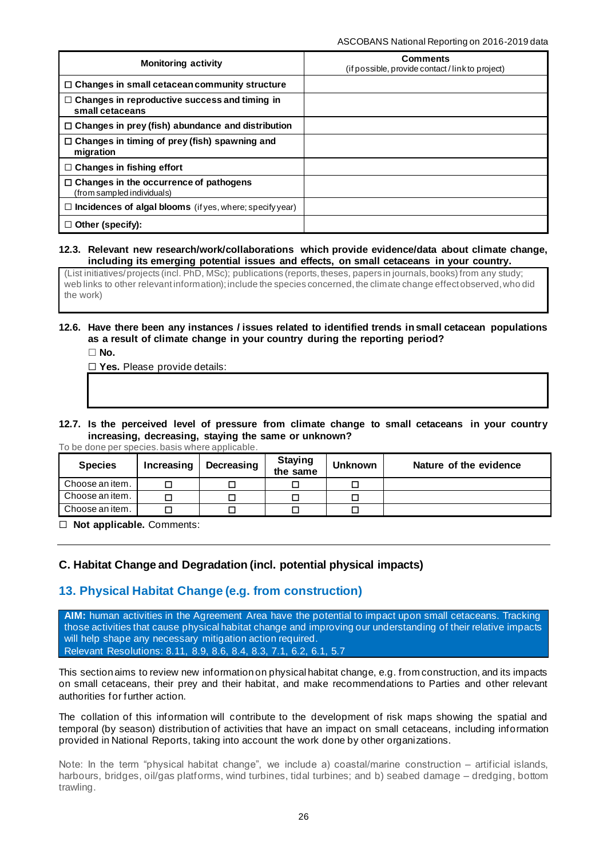| <b>Monitoring activity</b>                                                  | <b>Comments</b><br>(if possible, provide contact/link to project) |
|-----------------------------------------------------------------------------|-------------------------------------------------------------------|
| $\Box$ Changes in small cetacean community structure                        |                                                                   |
| $\Box$ Changes in reproductive success and timing in<br>small cetaceans     |                                                                   |
| $\Box$ Changes in prey (fish) abundance and distribution                    |                                                                   |
| $\Box$ Changes in timing of prey (fish) spawning and<br>migration           |                                                                   |
| $\Box$ Changes in fishing effort                                            |                                                                   |
| $\Box$ Changes in the occurrence of pathogens<br>(from sampled individuals) |                                                                   |
| $\Box$ Incidences of algal blooms (if yes, where; specify year)             |                                                                   |
| $\Box$ Other (specify):                                                     |                                                                   |

## **12.3. Relevant new research/work/collaborations which provide evidence/data about climate change, including its emerging potential issues and effects, on small cetaceans in your country.**

(List initiatives/ projects (incl. PhD, MSc); publications (reports, theses, papers in journals, books) from any study; web links to other relevant information); include the species concerned, the climate change effect observed, who did the work)

# **12.6. Have there been any instances / issues related to identified trends in small cetacean populations as a result of climate change in your country during the reporting period?**

☐ **No.**

☐ **Yes.** Please provide details:

# **12.7. Is the perceived level of pressure from climate change to small cetaceans in your country increasing, decreasing, staying the same or unknown?**

To be done per species.basis where applicable.

| <b>Species</b>  | Increasing | Decreasing | <b>Staying</b><br>the same | <b>Unknown</b> | Nature of the evidence |
|-----------------|------------|------------|----------------------------|----------------|------------------------|
| Choose an item. |            | $\Box$     |                            |                |                        |
| Choose an item. |            | $\Box$     |                            |                |                        |
| Choose an item. |            | $\Box$     |                            |                |                        |

☐ **Not applicable.** Comments:

# **C. Habitat Change and Degradation (incl. potential physical impacts)**

# **13. Physical Habitat Change (e.g. from construction)**

**AIM:** human activities in the Agreement Area have the potential to impact upon small cetaceans. Tracking those activities that cause physical habitat change and improving our understanding of their relative impacts will help shape any necessary mitigation action required. Relevant Resolutions: [8.11,](https://www.ascobans.org/en/document/cms-family-guidelines-environmental-impact-assessments-marine-noise-generating-activities-0) [8.9,](https://www.ascobans.org/en/document/managing-cumulative-anthropogenic-impacts-marine-environment-0) [8.6,](https://www.ascobans.org/en/document/ocean-energy) [8.4,](https://www.ascobans.org/en/document/conservation-common-dolphins) [8.3,](https://www.ascobans.org/en/document/revision-recovery-plan-baltic-harbour-porpoises-jastarnia-plan) [7.1,](https://www.ascobans.org/en/document/conservation-harbour-porpoises-and-adoption-conservation-plan-western-baltic-belt-sea-and) [6.2,](https://www.ascobans.org/en/document/adverse-effects-underwater-noise-marine-mammals-during-offshore-construction-activities) [6.1,](https://www.ascobans.org/en/document/adoption-and-implementation-jastarnia-and-north-sea-plans) [5.7](https://www.ascobans.org/en/document/research-habitat-quality-health-and-status-small-cetaceans-agreement-area)

This section aims to review new information on physical habitat change, e.g. from construction, and its impacts on small cetaceans, their prey and their habitat, and make recommendations to Parties and other relevant authorities for further action.

The collation of this information will contribute to the development of risk maps showing the spatial and temporal (by season) distribution of activities that have an impact on small cetaceans, including information provided in National Reports, taking into account the work done by other organizations.

Note: In the term "physical habitat change", we include a) coastal/marine construction – artificial islands, harbours, bridges, oil/gas platforms, wind turbines, tidal turbines; and b) seabed damage – dredging, bottom trawling.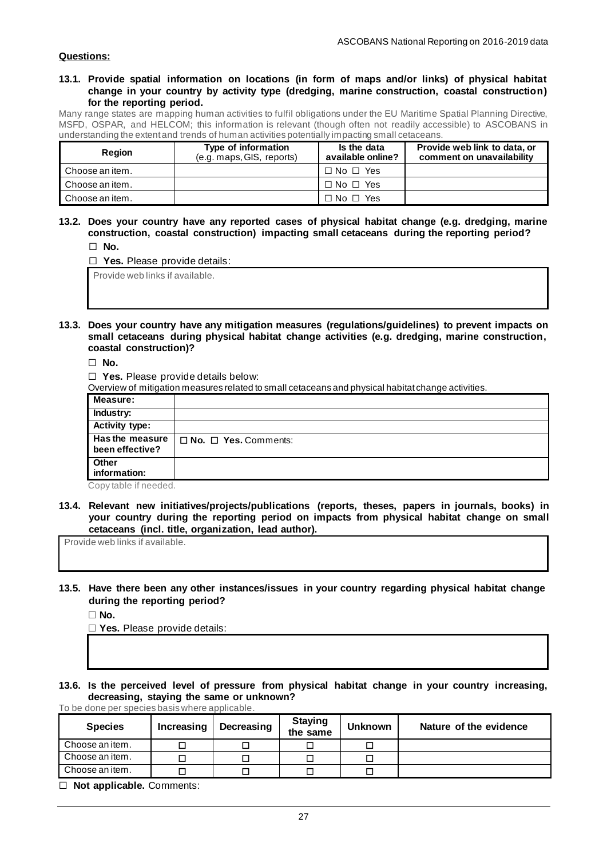## **Questions:**

#### **13.1. Provide spatial information on locations (in form of maps and/or links) of physical habitat change in your country by activity type (dredging, marine construction, coastal construction) for the reporting period.**

Many range states are mapping human activities to fulfil obligations under the EU Maritime Spatial Planning Directive, MSFD, OSPAR, and HELCOM; this information is relevant (though often not readily accessible) to ASCOBANS in understanding the extent and trends of human activities potentially impacting small cetaceans.

| <b>Region</b>   | Type of information<br>(e.g. maps, GIS, reports) | Is the data<br>available online? | Provide web link to data, or<br>comment on unavailability |
|-----------------|--------------------------------------------------|----------------------------------|-----------------------------------------------------------|
| Choose an item. |                                                  | $\Box$ No $\Box$ Yes             |                                                           |
| Choose an item. |                                                  | $\Box$ No $\Box$ Yes             |                                                           |
| Choose an item. |                                                  | $\Box$ No $\Box$ Yes             |                                                           |

**13.2. Does your country have any reported cases of physical habitat change (e.g. dredging, marine construction, coastal construction) impacting small cetaceans during the reporting period?** ☐ **No.**

| LINU.                               |
|-------------------------------------|
| $\Box$ Yes. Please provide details: |
| Provide web links if available.     |

**13.3. Does your country have any mitigation measures (regulations/guidelines) to prevent impacts on small cetaceans during physical habitat change activities (e.g. dredging, marine construction, coastal construction)?**

☐ **No.**

☐ **Yes.** Please provide details below:

Overview of mitigation measures related to small cetaceans and physical habitat change activities.

|                                           | . .<br>ັ                         |
|-------------------------------------------|----------------------------------|
| Measure:                                  |                                  |
| <b>Industry:</b>                          |                                  |
| <b>Activity type:</b>                     |                                  |
| <b>Has the measure</b><br>been effective? | $\Box$ No. $\Box$ Yes. Comments: |
| Other<br>information:                     |                                  |

Copy table if needed.

**13.4. Relevant new initiatives/projects/publications (reports, theses, papers in journals, books) in your country during the reporting period on impacts from physical habitat change on small cetaceans (incl. title, organization, lead author).**

Provide web links if available.

**13.5. Have there been any other instances/issues in your country regarding physical habitat change during the reporting period?**

☐ **No.**

☐ **Yes.** Please provide details:

**13.6. Is the perceived level of pressure from physical habitat change in your country increasing, decreasing, staying the same or unknown?**

To be done per species basis where applicable. **Species** | Increasing | Decreasing | Staying **the same Unknown Nature of the evidence** Choose an item.  $\Box$ Choose an item. □ □ □ □ □ □ □ Choose an item. □ □ │ □ │ □ │ □

☐ **Not applicable.** Comments: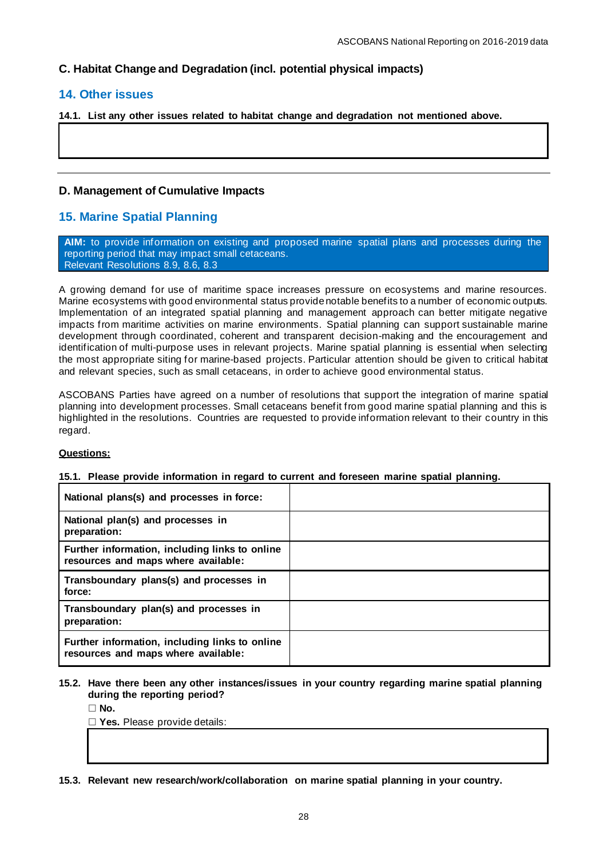# **C. Habitat Change and Degradation (incl. potential physical impacts)**

# **14. Other issues**

**14.1. List any other issues related to habitat change and degradation not mentioned above.**

# **D. Management of Cumulative Impacts**

# **15. Marine Spatial Planning**

**AIM:** to provide information on existing and proposed marine spatial plans and processes during the reporting period that may impact small cetaceans. Relevant Resolutions [8.9,](https://www.ascobans.org/en/document/managing-cumulative-anthropogenic-impacts-marine-environment-0) [8.6,](https://www.ascobans.org/en/document/ocean-energy) [8.3](https://www.ascobans.org/en/document/revision-recovery-plan-baltic-harbour-porpoises-jastarnia-plan)

A growing demand for use of maritime space increases pressure on ecosystems and marine resources. Marine ecosystems with good environmental status provide notable benefits to a number of economic outputs. Implementation of an integrated spatial planning and management approach can better mitigate negative impacts from maritime activities on marine environments. Spatial planning can support sustainable marine development through coordinated, coherent and transparent decision-making and the encouragement and identification of multi-purpose uses in relevant projects. Marine spatial planning is essential when selecting the most appropriate siting for marine-based projects. Particular attention should be given to critical habitat and relevant species, such as small cetaceans, in order to achieve good environmental status.

ASCOBANS Parties have agreed on a number of resolutions that support the integration of marine spatial planning into development processes. Small cetaceans benefit from good marine spatial planning and this is highlighted in the resolutions. Countries are requested to provide information relevant to their country in this regard.

# **Questions:**

#### **15.1. Please provide information in regard to current and foreseen marine spatial planning.**

| National plans(s) and processes in force:                                             |  |
|---------------------------------------------------------------------------------------|--|
| National plan(s) and processes in<br>preparation:                                     |  |
| Further information, including links to online<br>resources and maps where available: |  |
| Transboundary plans(s) and processes in<br>force:                                     |  |
| Transboundary plan(s) and processes in<br>preparation:                                |  |
| Further information, including links to online<br>resources and maps where available: |  |

## **15.2. Have there been any other instances/issues in your country regarding marine spatial planning during the reporting period?**

 $\Box$  **No.** 

☐ **Yes.** Please provide details:

**15.3. Relevant new research/work/collaboration on marine spatial planning in your country.**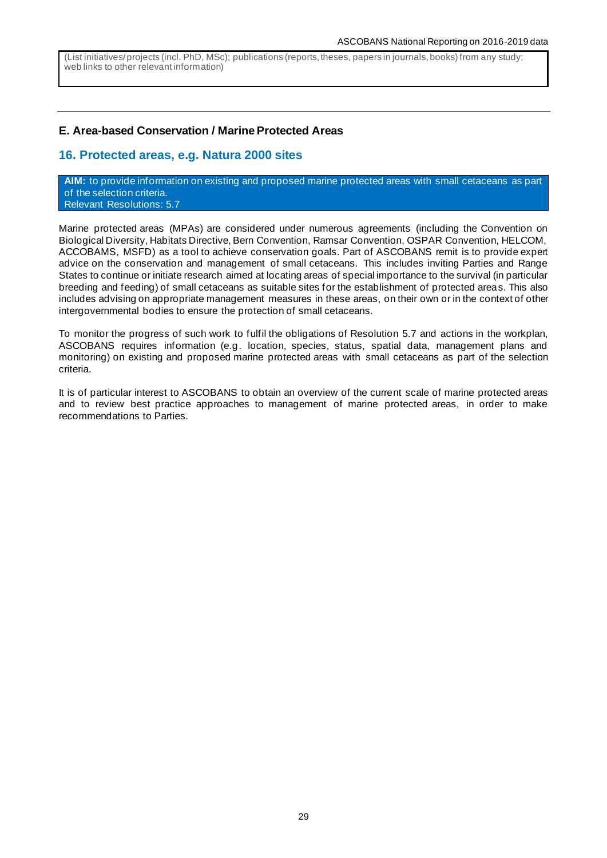(List initiatives/ projects (incl. PhD, MSc); publications (reports, theses, papers in journals, books) from any study; web links to other relevant information)

# **E. Area-based Conservation / Marine Protected Areas**

# **16. Protected areas, e.g. Natura 2000 sites**

**AIM:** to provide information on existing and proposed marine protected areas with small cetaceans as part of the selection criteria. Relevant Resolutions: [5.7](https://www.ascobans.org/en/document/research-habitat-quality-health-and-status-small-cetaceans-agreement-area)

Marine protected areas (MPAs) are considered under numerous agreements (including the Convention on Biological Diversity, Habitats Directive, Bern Convention, Ramsar Convention, OSPAR Convention, HELCOM, ACCOBAMS, MSFD) as a tool to achieve conservation goals. Part of ASCOBANS remit is to provide expert advice on the conservation and management of small cetaceans. This includes inviting Parties and Range States to continue or initiate research aimed at locating areas of special importance to the survival (in particular breeding and feeding) of small cetaceans as suitable sites for the establishment of protected areas. This also includes advising on appropriate management measures in these areas, on their own or in the context of other intergovernmental bodies to ensure the protection of small cetaceans.

To monitor the progress of such work to fulfil the obligations of Resolution 5.7 and actions in the workplan, ASCOBANS requires information (e.g. location, species, status, spatial data, management plans and monitoring) on existing and proposed marine protected areas with small cetaceans as part of the selection criteria.

It is of particular interest to ASCOBANS to obtain an overview of the current scale of marine protected areas and to review best practice approaches to management of marine protected areas, in order to make recommendations to Parties.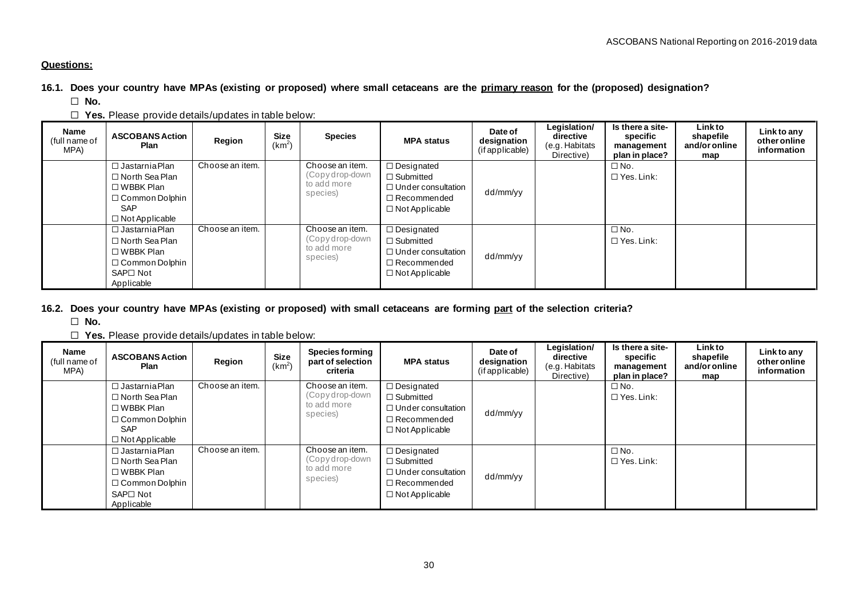# **Questions:**

**16.1. Does your country have MPAs (existing or proposed) where small cetaceans are the primary reason for the (proposed) designation?**

☐ **No.**

☐ **Yes.** Please provide details/updates in table below:

| Name<br>(full name of<br>MPA) | <b>ASCOBANS Action</b><br>Plan       | Region          | Size<br>(km <sup>2</sup> ) | <b>Species</b>                     | <b>MPA status</b>                     | Date of<br>designation<br>(if applicable) | Legislation/<br>directive<br>(e.g. Habitats<br>Directive) | Is there a site-<br>specific<br>management<br>plan in place? | Linkto<br>shapefile<br>and/or online<br>map | Link to any<br>other online<br>information |
|-------------------------------|--------------------------------------|-----------------|----------------------------|------------------------------------|---------------------------------------|-------------------------------------------|-----------------------------------------------------------|--------------------------------------------------------------|---------------------------------------------|--------------------------------------------|
|                               | $\Box$ Jastarnia Plan                | Choose an item. |                            | Choose an item.<br>(Copy drop-down | $\Box$ Designated<br>$\Box$ Submitted |                                           |                                                           | $\Box$ No.<br>$\Box$ Yes. Link:                              |                                             |                                            |
|                               | $\Box$ North Sea Plan<br>□ WBBK Plan |                 |                            | to add more                        | $\Box$ Under consultation             |                                           |                                                           |                                                              |                                             |                                            |
|                               | $\Box$ Common Dolphin                |                 |                            | species)                           | $\Box$ Recommended                    | dd/mm/yy                                  |                                                           |                                                              |                                             |                                            |
|                               | <b>SAP</b>                           |                 |                            |                                    | $\Box$ Not Applicable                 |                                           |                                                           |                                                              |                                             |                                            |
|                               | $\Box$ Not Applicable                |                 |                            |                                    |                                       |                                           |                                                           |                                                              |                                             |                                            |
|                               | $\Box$ Jastarnia Plan                | Choose an item. |                            | Choose an item.                    | $\Box$ Designated                     |                                           |                                                           | $\Box$ No.                                                   |                                             |                                            |
|                               | $\Box$ North Sea Plan                |                 |                            | (Copy drop-down                    | $\Box$ Submitted                      |                                           |                                                           | $\Box$ Yes. Link:                                            |                                             |                                            |
|                               | $\Box$ WBBK Plan                     |                 |                            | to add more<br>species)            | $\Box$ Under consultation             | dd/mm/yy                                  |                                                           |                                                              |                                             |                                            |
|                               | $\Box$ Common Dolphin                |                 |                            |                                    | $\Box$ Recommended                    |                                           |                                                           |                                                              |                                             |                                            |
|                               | SAP□ Not                             |                 |                            |                                    | $\Box$ Not Applicable                 |                                           |                                                           |                                                              |                                             |                                            |
|                               | Applicable                           |                 |                            |                                    |                                       |                                           |                                                           |                                                              |                                             |                                            |

# **16.2. Does your country have MPAs (existing or proposed) with small cetaceans are forming part of the selection criteria?**

☐ **No.**

☐ **Yes.** Please provide details/updates in table below:

| Name<br>(full name of<br>MPA) | <b>ASCOBANS Action</b><br>Plan                                                                                                     | Region          | <b>Size</b><br>(km <sup>2</sup> | <b>Species forming</b><br>part of selection<br>criteria       | <b>MPA status</b>                                                                                                 | Date of<br>designation<br>(if applicable) | Legislation/<br>directive<br>(e.g. Habitats<br>Directive) | Is there a site-<br>specific<br>management<br>plan in place? | Linkto<br>shapefile<br>and/or online<br>map | Link to any<br>other online<br>information |
|-------------------------------|------------------------------------------------------------------------------------------------------------------------------------|-----------------|---------------------------------|---------------------------------------------------------------|-------------------------------------------------------------------------------------------------------------------|-------------------------------------------|-----------------------------------------------------------|--------------------------------------------------------------|---------------------------------------------|--------------------------------------------|
|                               | $\Box$ Jastarnia Plan<br>$\Box$ North Sea Plan<br>$\Box$ WBBK Plan<br>$\Box$ Common Dolphin<br><b>SAP</b><br>$\Box$ Not Applicable | Choose an item. |                                 | Choose an item.<br>(Copydrop-down<br>to add more<br>species)  | $\Box$ Designated<br>$\Box$ Submitted<br>$\Box$ Under consultation<br>$\Box$ Recommended<br>$\Box$ Not Applicable | dd/mm/yy                                  |                                                           | $\Box$ No.<br>$\Box$ Yes. Link:                              |                                             |                                            |
|                               | $\Box$ Jastarnia Plan<br>$\Box$ North Sea Plan<br>$\Box$ WBBK Plan<br>$\Box$ Common Dolphin<br>SAP□ Not<br>Applicable              | Choose an item. |                                 | Choose an item.<br>(Copy drop-down<br>to add more<br>species) | □ Designated<br>$\Box$ Submitted<br>$\Box$ Under consultation<br>$\Box$ Recommended<br>$\Box$ Not Applicable      | dd/mm/yy                                  |                                                           | $\Box$ No.<br>$\Box$ Yes. Link:                              |                                             |                                            |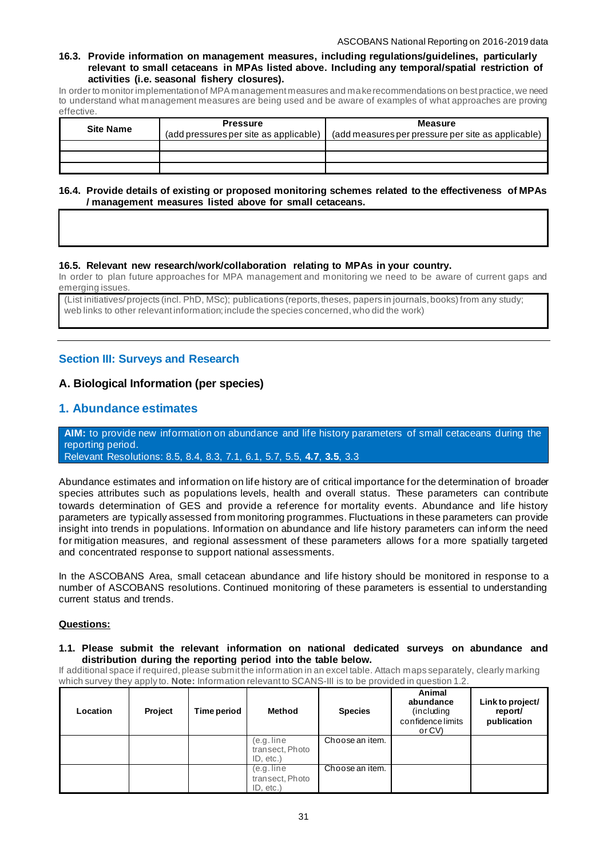#### **16.3. Provide information on management measures, including regulations/guidelines, particularly relevant to small cetaceans in MPAs listed above. Including any temporal/spatial restriction of activities (i.e. seasonal fishery closures).**

In order to monitor implementation of MPA management measures and make recommendations on best practice, we need to understand what management measures are being used and be aware of examples of what approaches are proving effective.

| <b>Site Name</b> | <b>Pressure</b><br>(add pressures per site as applicable) | <b>Measure</b><br>(add measures per pressure per site as applicable) |
|------------------|-----------------------------------------------------------|----------------------------------------------------------------------|
|                  |                                                           |                                                                      |
|                  |                                                           |                                                                      |
|                  |                                                           |                                                                      |

### **16.4. Provide details of existing or proposed monitoring schemes related to the effectiveness of MPAs / management measures listed above for small cetaceans.**

## **16.5. Relevant new research/work/collaboration relating to MPAs in your country.**

In order to plan future approaches for MPA management and monitoring we need to be aware of current gaps and emerging issues.

(List initiatives/ projects (incl. PhD, MSc); publications (reports, theses, papers in journals, books) from any study; web links to other relevant information; include the species concerned, who did the work)

# **Section III: Surveys and Research**

# **A. Biological Information (per species)**

# **1. Abundance estimates**

**AIM:** to provide new information on abundance and life history parameters of small cetaceans during the reporting period.

Relevant Resolutions: [8.5,](https://www.ascobans.org/en/document/monitoring-and-mitigation-small-cetacean-bycatch) [8.4,](https://www.ascobans.org/en/document/conservation-common-dolphins) [8.3,](https://www.ascobans.org/en/document/revision-recovery-plan-baltic-harbour-porpoises-jastarnia-plan) [7.1,](https://www.ascobans.org/en/document/conservation-harbour-porpoises-and-adoption-conservation-plan-western-baltic-belt-sea-and) [6.1,](https://www.ascobans.org/en/document/adoption-and-implementation-jastarnia-and-north-sea-plans) [5.7,](https://www.ascobans.org/en/document/research-habitat-quality-health-and-status-small-cetaceans-agreement-area) [5.5,](https://www.ascobans.org/en/document/incidental-take-small-cetaceans-0) **[4.7](https://www.ascobans.org/en/document/cetacean-populations-ascobans-area)**, **[3.5](https://www.ascobans.org/en/document/monitoring-status-and-populations-studies)**, [3.3](https://www.ascobans.org/en/document/incidental-take-small-cetaceans-0)

Abundance estimates and information on life history are of critical importance for the determination of broader species attributes such as populations levels, health and overall status. These parameters can contribute towards determination of GES and provide a reference for mortality events. Abundance and life history parameters are typically assessed from monitoring programmes. Fluctuations in these parameters can provide insight into trends in populations. Information on abundance and life history parameters can inform the need for mitigation measures, and regional assessment of these parameters allows for a more spatially targeted and concentrated response to support national assessments.

In the ASCOBANS Area, small cetacean abundance and life history should be monitored in response to a number of ASCOBANS resolutions. Continued monitoring of these parameters is essential to understanding current status and trends.

## **Questions:**

#### **1.1. Please submit the relevant information on national dedicated surveys on abundance and distribution during the reporting period into the table below.**

If additional space if required, please submit the information in an excel table. Attach maps separately, clearly marking which survey they apply to. **Note:** Information relevant to SCANS-III is to be provided in question 1.2.

| Location | Project | Time period | <b>Method</b>   | <b>Species</b>  | Animal<br>abundance<br>(including)<br>confidence limits<br>or CV) | Link to project/<br>report/<br>publication |
|----------|---------|-------------|-----------------|-----------------|-------------------------------------------------------------------|--------------------------------------------|
|          |         |             | (e.g. line)     | Choose an item. |                                                                   |                                            |
|          |         |             | transect, Photo |                 |                                                                   |                                            |
|          |         |             | $ID. etc.$ )    |                 |                                                                   |                                            |
|          |         |             | (e.g. line)     | Choose an item. |                                                                   |                                            |
|          |         |             | transect, Photo |                 |                                                                   |                                            |
|          |         |             | $ID. etc.$ )    |                 |                                                                   |                                            |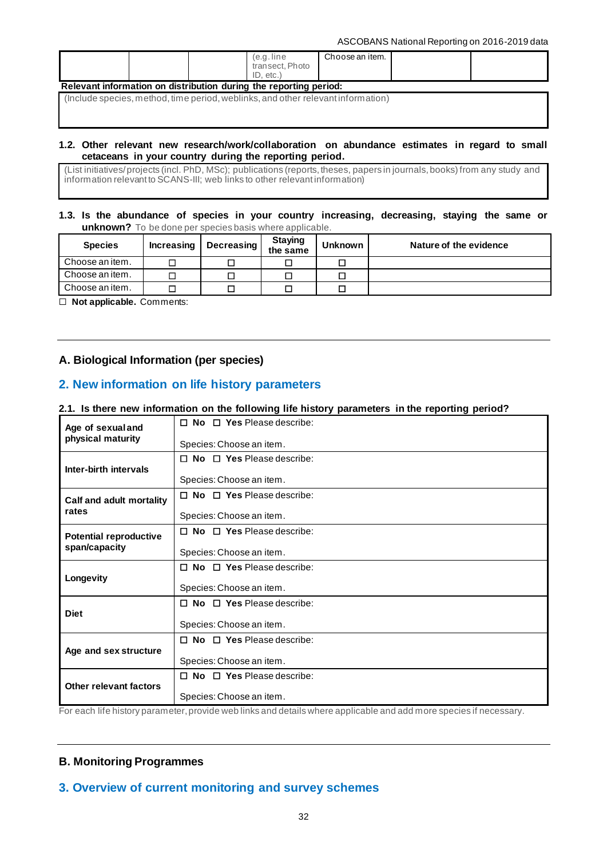ASCOBANS National Reporting on 2016-2019 data

|                                                                   |  |  | e.g.line)       | Choose an item. |  |  |  |  |
|-------------------------------------------------------------------|--|--|-----------------|-----------------|--|--|--|--|
|                                                                   |  |  | transect. Photo |                 |  |  |  |  |
|                                                                   |  |  | ID. etc.        |                 |  |  |  |  |
| Relevant information on distribution during the reporting period: |  |  |                 |                 |  |  |  |  |

(Include species, method, time period, weblinks, and other relevant information)

## **1.2. Other relevant new research/work/collaboration on abundance estimates in regard to small cetaceans in your country during the reporting period.**

(List initiatives/ projects (incl. PhD, MSc); publications (reports, theses, papers in journals, books) from any study and information relevant to SCANS-III; web links to other relevant information)

# **1.3. Is the abundance of species in your country increasing, decreasing, staying the same or unknown?** To be done per species basis where applicable.

| <b>Species</b>  | <b>Increasing</b> | Decreasing | <b>Staying</b><br>the same | <b>Unknown</b> | Nature of the evidence |
|-----------------|-------------------|------------|----------------------------|----------------|------------------------|
| Choose an item. |                   |            |                            |                |                        |
| Choose an item. |                   | □          |                            |                |                        |
| Choose an item. |                   |            |                            |                |                        |

☐ **Not applicable.** Comments:

# **A. Biological Information (per species)**

# **2. New information on life history parameters**

## **2.1. Is there new information on the following life history parameters in the reporting period?**

| Age of sexual and             | $\Pi$ No $\Pi$ Yes Please describe:   |
|-------------------------------|---------------------------------------|
| physical maturity             | Species: Choose an item.              |
| Inter-birth intervals         | $\Box$ No $\Box$ Yes Please describe: |
|                               | Species: Choose an item.              |
| Calf and adult mortality      | $\Box$ No $\Box$ Yes Please describe: |
| rates                         | Species: Choose an item.              |
| <b>Potential reproductive</b> | $\Box$ No $\Box$ Yes Please describe: |
| span/capacity                 | Species: Choose an item.              |
|                               | $\Box$ No $\Box$ Yes Please describe: |
| Longevity                     | Species: Choose an item.              |
| <b>Diet</b>                   | $\Box$ No $\Box$ Yes Please describe: |
|                               | Species: Choose an item.              |
|                               | $\Box$ No $\Box$ Yes Please describe: |
| Age and sex structure         | Species: Choose an item.              |
|                               | $\Box$ No $\Box$ Yes Please describe: |
| Other relevant factors        | Species: Choose an item.              |

For each life history parameter, provide web links and details where applicable and add more species if necessary.

# **B. Monitoring Programmes**

# **3. Overview of current monitoring and survey schemes**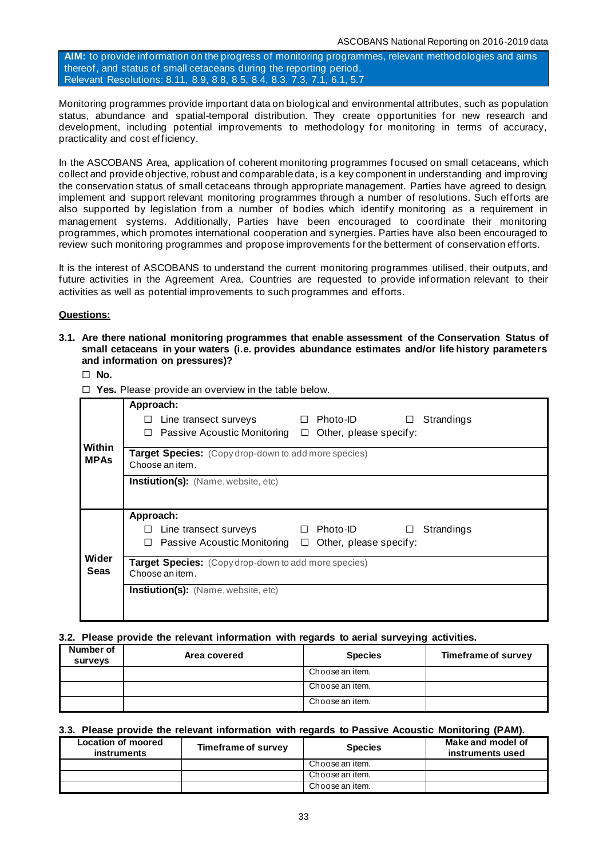**AIM:** to provide information on the progress of monitoring programmes, relevant methodologies and aims thereof, and status of small cetaceans during the reporting period. Relevant Resolutions: [8.11,](https://www.ascobans.org/en/document/cms-family-guidelines-environmental-impact-assessments-marine-noise-generating-activities-0) [8.9,](https://www.ascobans.org/en/document/managing-cumulative-anthropogenic-impacts-marine-environment-0) [8.8,](https://www.ascobans.org/en/document/addressing-threats-underwater-munitions) [8.5,](https://www.ascobans.org/en/document/monitoring-and-mitigation-small-cetacean-bycatch) [8.4,](https://www.ascobans.org/en/document/conservation-common-dolphins) [8.3,](https://www.ascobans.org/en/document/revision-recovery-plan-baltic-harbour-porpoises-jastarnia-plan) [7.3,](https://www.ascobans.org/en/document/research-and-conservation-actions-extension-agreement-area) [7.1,](https://www.ascobans.org/en/document/conservation-harbour-porpoises-and-adoption-conservation-plan-western-baltic-belt-sea-and) [6.1,](https://www.ascobans.org/en/document/adoption-and-implementation-jastarnia-and-north-sea-plans) [5.7](https://www.ascobans.org/en/document/research-habitat-quality-health-and-status-small-cetaceans-agreement-area)

Monitoring programmes provide important data on biological and environmental attributes, such as population status, abundance and spatial-temporal distribution. They create opportunities for new research and development, including potential improvements to methodology for monitoring in terms of accuracy, practicality and cost efficiency.

In the ASCOBANS Area, application of coherent monitoring programmes focused on small cetaceans, which collect and provide objective, robust and comparable data, is a key component in understanding and improving the conservation status of small cetaceans through appropriate management. Parties have agreed to design, implement and support relevant monitoring programmes through a number of resolutions. Such efforts are also supported by legislation from a number of bodies which identify monitoring as a requirement in management systems. Additionally, Parties have been encouraged to coordinate their monitoring programmes, which promotes international cooperation and synergies. Parties have also been encouraged to review such monitoring programmes and propose improvements for the betterment of conservation efforts.

It is the interest of ASCOBANS to understand the current monitoring programmes utilised, their outputs, and future activities in the Agreement Area. Countries are requested to provide information relevant to their activities as well as potential improvements to such programmes and efforts.

# **Questions:**

**3.1. Are there national monitoring programmes that enable assessment of the Conservation Status of small cetaceans in your waters (i.e. provides abundance estimates and/or life history parameters and information on pressures)?**

## ☐ **No.**

☐ **Yes.** Please provide an overview in the table below.

|                       | Approach:<br>Photo-ID<br>Line transect surveys<br>Strandings<br>П<br>$\Box$<br>Passive Acoustic Monitoring $\Box$<br>Other, please specify:    |
|-----------------------|------------------------------------------------------------------------------------------------------------------------------------------------|
| Within<br><b>MPAs</b> | Target Species: (Copy drop-down to add more species)<br>Choose an item.                                                                        |
|                       | <b>Instiution(s):</b> (Name, website, etc)                                                                                                     |
|                       |                                                                                                                                                |
|                       | Approach:<br>Photo-ID<br>Line transect surveys<br>Strandings<br>$\Box$<br>$\Box$<br>Passive Acoustic Monitoring<br>Other, please specify:<br>□ |
| Wider<br>Seas         | Target Species: (Copy drop-down to add more species)<br>Choose an item.                                                                        |
|                       | <b>Instiution(s):</b> (Name, website, etc)                                                                                                     |

# **3.2. Please provide the relevant information with regards to aerial surveying activities.**

| Number of<br>surveys | Area covered | <b>Species</b>  | Timeframe of survey |
|----------------------|--------------|-----------------|---------------------|
|                      |              | Choose an item. |                     |
|                      |              | Choose an item. |                     |
|                      |              | Choose an item. |                     |

#### **3.3. Please provide the relevant information with regards to Passive Acoustic Monitoring (PAM).**

| Location of moored<br><b>instruments</b> | Timeframe of survey | <b>Species</b>  | Make and model of<br>instruments used |
|------------------------------------------|---------------------|-----------------|---------------------------------------|
|                                          |                     | Choose an item. |                                       |
|                                          |                     | Choose an item. |                                       |
|                                          |                     | Choose an item. |                                       |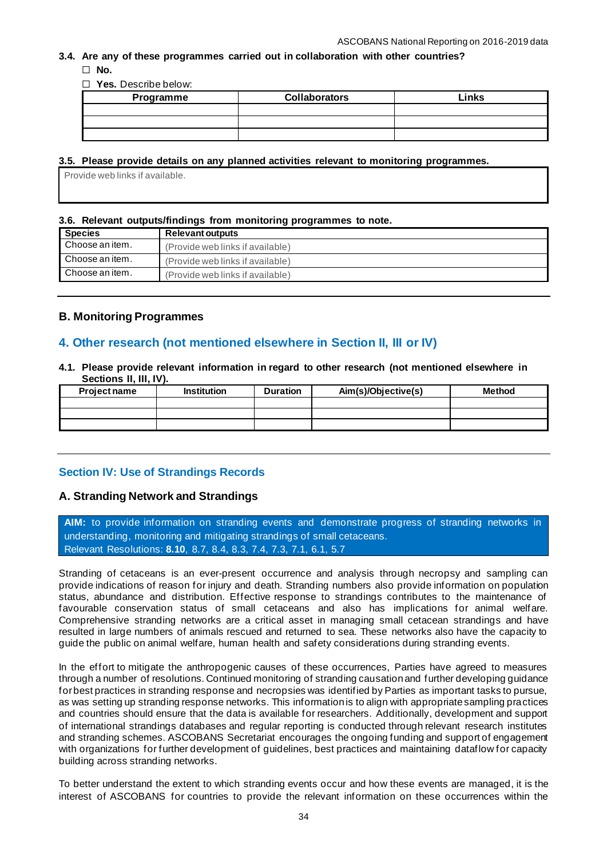# **3.4. Are any of these programmes carried out in collaboration with other countries?**

☐ **No.**

☐ **Yes.** Describe below:

| Programme | <b>Collaborators</b> | Links |
|-----------|----------------------|-------|
|           |                      |       |
|           |                      |       |
|           |                      |       |

# **3.5. Please provide details on any planned activities relevant to monitoring programmes.**

Provide web links if available.

# **3.6. Relevant outputs/findings from monitoring programmes to note.**

| <b>Species</b>  | <b>Relevant outputs</b>          |
|-----------------|----------------------------------|
| Choose an item. | (Provide web links if available) |
| Choose an item. | (Provide web links if available) |
| Choose an item. | (Provide web links if available) |

# **B. Monitoring Programmes**

# **4. Other research (not mentioned elsewhere in Section II, III or IV)**

**4.1. Please provide relevant information in regard to other research (not mentioned elsewhere in Sections II, III, IV).** 

| <b>Project name</b> | <b>Institution</b> | <b>Duration</b> | Aim(s)/Objective(s) | <b>Method</b> |
|---------------------|--------------------|-----------------|---------------------|---------------|
|                     |                    |                 |                     |               |
|                     |                    |                 |                     |               |
|                     |                    |                 |                     |               |

# **Section IV: Use of Strandings Records**

# **A. Stranding Network and Strandings**

**AIM:** to provide information on stranding events and demonstrate progress of stranding networks in understanding, monitoring and mitigating strandings of small cetaceans. Relevant Resolutions: **[8.10](https://www.ascobans.org/en/document/small-cetacean-stranding-response)**, [8.7,](https://www.ascobans.org/en/document/impacts-polychlorinated-biphenyls-pcbs) [8.4,](https://www.ascobans.org/en/document/conservation-common-dolphins) [8.3,](https://www.ascobans.org/en/document/revision-recovery-plan-baltic-harbour-porpoises-jastarnia-plan) [7.4,](https://www.ascobans.org/en/document/impacts-chemical-pollution-small-cetaceans) [7.3,](https://www.ascobans.org/en/document/research-and-conservation-actions-extension-agreement-area) [7.1,](https://www.ascobans.org/en/document/conservation-harbour-porpoises-and-adoption-conservation-plan-western-baltic-belt-sea-and) [6.1,](https://www.ascobans.org/en/document/adoption-and-implementation-jastarnia-and-north-sea-plans) [5.7](https://www.ascobans.org/en/document/research-habitat-quality-health-and-status-small-cetaceans-agreement-area)

Stranding of cetaceans is an ever-present occurrence and analysis through necropsy and sampling can provide indications of reason for injury and death. Stranding numbers also provide information on population status, abundance and distribution. Effective response to strandings contributes to the maintenance of favourable conservation status of small cetaceans and also has implications for animal welfare. Comprehensive stranding networks are a critical asset in managing small cetacean strandings and have resulted in large numbers of animals rescued and returned to sea. These networks also have the capacity to guide the public on animal welfare, human health and safety considerations during stranding events.

In the effort to mitigate the anthropogenic causes of these occurrences, Parties have agreed to measures through a number of resolutions. Continued monitoring of stranding causation and further developing guidance for best practices in stranding response and necropsies was identified by Parties as important tasks to pursue, as was setting up stranding response networks. This information is to align with appropriate sampling practices and countries should ensure that the data is available for researchers. Additionally, development and support of international strandings databases and regular reporting is conducted through relevant research institutes and stranding schemes. ASCOBANS Secretariat encourages the ongoing funding and support of engagement with organizations for further development of guidelines, best practices and maintaining dataflow for capacity building across stranding networks.

To better understand the extent to which stranding events occur and how these events are managed, it is the interest of ASCOBANS for countries to provide the relevant information on these occurrences within the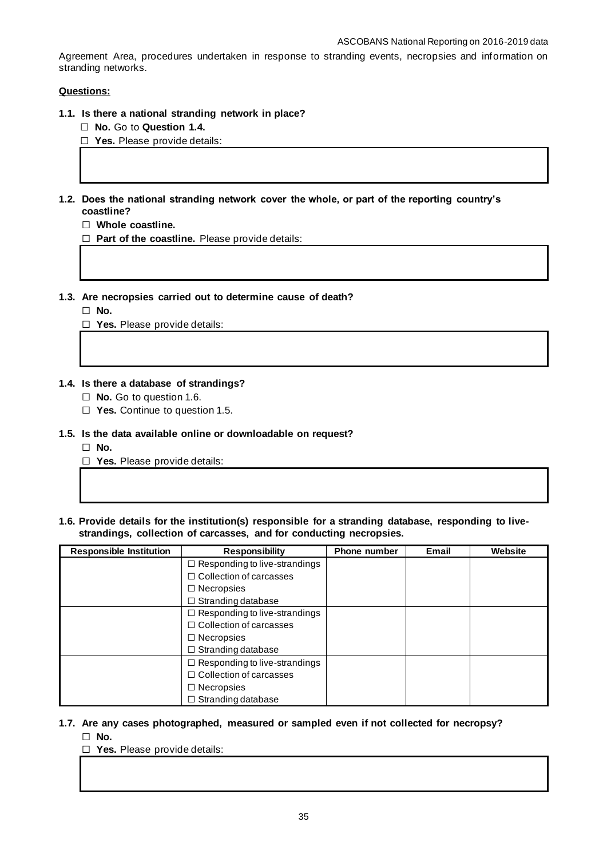Agreement Area, procedures undertaken in response to stranding events, necropsies and information on stranding networks.

# **Questions:**

- **1.1. Is there a national stranding network in place?**
	- ☐ **No.** Go to **Question 1.4.**

☐ **Yes.** Please provide details:

**1.2. Does the national stranding network cover the whole, or part of the reporting country's coastline?**

☐ **Whole coastline.**

☐ **Part of the coastline.** Please provide details:

- **1.3. Are necropsies carried out to determine cause of death?**
	- ☐ **No.**

☐ **Yes.** Please provide details:

## **1.4. Is there a database of strandings?**

- ☐ **No.** Go to question 1.6.
- ☐ **Yes.** Continue to question 1.5.

## **1.5. Is the data available online or downloadable on request?**

☐ **No.**

☐ **Yes.** Please provide details:

**1.6. Provide details for the institution(s) responsible for a stranding database, responding to livestrandings, collection of carcasses, and for conducting necropsies.**

| <b>Responsible Institution</b> | <b>Responsibility</b>                | <b>Phone number</b> | <b>Email</b> | Website |
|--------------------------------|--------------------------------------|---------------------|--------------|---------|
|                                | $\Box$ Responding to live-strandings |                     |              |         |
|                                | $\Box$ Collection of carcasses       |                     |              |         |
|                                | $\Box$ Necropsies                    |                     |              |         |
|                                | $\Box$ Stranding database            |                     |              |         |
|                                | $\Box$ Responding to live-strandings |                     |              |         |
|                                | $\Box$ Collection of carcasses       |                     |              |         |
|                                | $\Box$ Necropsies                    |                     |              |         |
|                                | $\Box$ Stranding database            |                     |              |         |
|                                | $\Box$ Responding to live-strandings |                     |              |         |
|                                | $\Box$ Collection of carcasses       |                     |              |         |
|                                | $\Box$ Necropsies                    |                     |              |         |
|                                | $\Box$ Stranding database            |                     |              |         |

# **1.7. Are any cases photographed, measured or sampled even if not collected for necropsy?**

☐ **No.**

☐ **Yes.** Please provide details: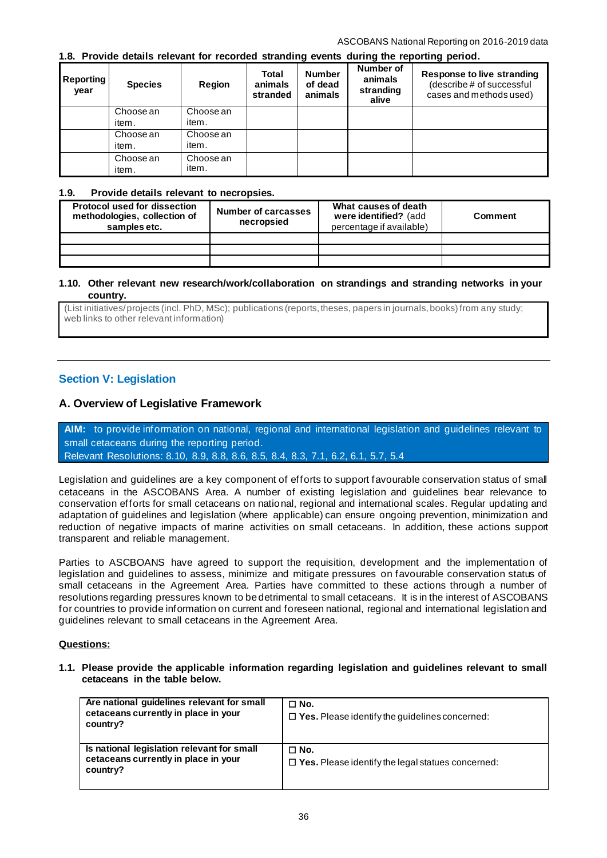# **1.8. Provide details relevant for recorded stranding events during the reporting period.**

| <b>Reporting</b><br>year | <b>Species</b>     | <b>Region</b>      | Total<br>animals<br>stranded | <b>Number</b><br>of dead<br>animals | Number of<br>animals<br>stranding<br>alive | <b>Response to live stranding</b><br>(describe # of successful<br>cases and methods used) |
|--------------------------|--------------------|--------------------|------------------------------|-------------------------------------|--------------------------------------------|-------------------------------------------------------------------------------------------|
|                          | Choose an<br>item. | Choose an<br>item. |                              |                                     |                                            |                                                                                           |
|                          | Choose an<br>item. | Choose an<br>item. |                              |                                     |                                            |                                                                                           |
|                          | Choose an<br>item. | Choose an<br>item. |                              |                                     |                                            |                                                                                           |

## **1.9. Provide details relevant to necropsies.**

| <b>Protocol used for dissection</b><br>methodologies, collection of<br>samples etc. | Number of carcasses<br>necropsied | What causes of death<br>were identified? (add<br>percentage if available) | Comment |
|-------------------------------------------------------------------------------------|-----------------------------------|---------------------------------------------------------------------------|---------|
|                                                                                     |                                   |                                                                           |         |
|                                                                                     |                                   |                                                                           |         |
|                                                                                     |                                   |                                                                           |         |

#### **1.10. Other relevant new research/work/collaboration on strandings and stranding networks in your country.**

(List initiatives/ projects (incl. PhD, MSc); publications (reports, theses, papers in journals, books) from any study; web links to other relevant information)

# **Section V: Legislation**

# **A. Overview of Legislative Framework**

**AIM:** to provide information on national, regional and international legislation and guidelines relevant to small cetaceans during the reporting period. Relevant Resolutions: 8.10, 8.9, 8.8, 8.6, 8.5, 8.4, 8.3, 7.1, 6.2, 6.1, 5.7, 5.4

Legislation and guidelines are a key component of efforts to support favourable conservation status of small cetaceans in the ASCOBANS Area. A number of existing legislation and guidelines bear relevance to conservation efforts for small cetaceans on national, regional and international scales. Regular updating and adaptation of guidelines and legislation (where applicable) can ensure ongoing prevention, minimization and reduction of negative impacts of marine activities on small cetaceans. In addition, these actions support transparent and reliable management.

Parties to ASCBOANS have agreed to support the requisition, development and the implementation of legislation and guidelines to assess, minimize and mitigate pressures on favourable conservation status of small cetaceans in the Agreement Area. Parties have committed to these actions through a number of resolutions regarding pressures known to be detrimental to small cetaceans. It is in the interest of ASCOBANS for countries to provide information on current and foreseen national, regional and international legislation and guidelines relevant to small cetaceans in the Agreement Area.

## **Questions:**

#### **1.1. Please provide the applicable information regarding legislation and guidelines relevant to small cetaceans in the table below.**

| Are national guidelines relevant for small<br>cetaceans currently in place in your<br>country? | $\Box$ No.<br>$\Box$ Yes. Please identify the guidelines concerned:    |
|------------------------------------------------------------------------------------------------|------------------------------------------------------------------------|
| Is national legislation relevant for small<br>cetaceans currently in place in your<br>country? | $\Box$ No.<br>$\Box$ Yes. Please identify the legal statues concerned: |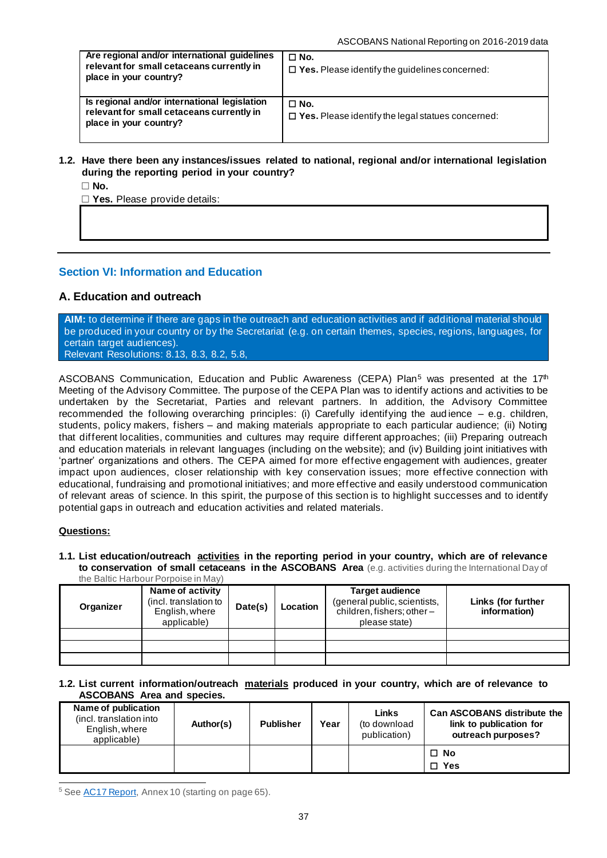| Are regional and/or international guidelines<br>relevant for small cetaceans currently in<br>place in your country? | $\Box$ No.<br>$\Box$ Yes. Please identify the guidelines concerned:    |
|---------------------------------------------------------------------------------------------------------------------|------------------------------------------------------------------------|
| Is regional and/or international legislation<br>relevant for small cetaceans currently in<br>place in your country? | $\Box$ No.<br>$\Box$ Yes. Please identify the legal statues concerned: |

## **1.2. Have there been any instances/issues related to national, regional and/or international legislation during the reporting period in your country?**

☐ **No.**

☐ **Yes.** Please provide details:

# **Section VI: Information and Education**

# **A. Education and outreach**

**AIM:** to determine if there are gaps in the outreach and education activities and if additional material should be produced in your country or by the Secretariat (e.g. on certain themes, species, regions, languages, for certain target audiences). Relevant Resolutions: [8.13,](https://www.ascobans.org/en/document/financial-and-administrative-matters-2017-2020) [8.3,](https://www.ascobans.org/en/document/revision-recovery-plan-baltic-harbour-porpoises-jastarnia-plan) [8.2,](https://www.ascobans.org/en/document/work-plan-ascobans-advisory-committee-and-secretariat-2017-2020-and-strategic-plan-0) [5.8,](https://www.ascobans.org/en/document/educational-and-promotional-activities-1)

ASCOBANS Communication, Education and Public Awareness (CEPA) Plan<sup>5</sup> was presented at the 17<sup>th</sup> Meeting of the Advisory Committee. The purpose of the CEPA Plan was to identify actions and activities to be undertaken by the Secretariat, Parties and relevant partners. In addition, the Advisory Committee recommended the following overarching principles: (i) Carefully identifying the aud ience – e.g. children, students, policy makers, fishers – and making materials appropriate to each particular audience; (ii) Noting that different localities, communities and cultures may require different approaches; (iii) Preparing outreach and education materials in relevant languages (including on the website); and (iv) Building joint initiatives with 'partner' organizations and others. The CEPA aimed for more effective engagement with audiences, greater impact upon audiences, closer relationship with key conservation issues; more effective connection with educational, fundraising and promotional initiatives; and more effective and easily understood communication of relevant areas of science. In this spirit, the purpose of this section is to highlight successes and to identify potential gaps in outreach and education activities and related materials.

### **Questions:**

#### **1.1. List education/outreach activities in the reporting period in your country, which are of relevance to conservation of small cetaceans in the ASCOBANS Area** (e.g. activities during the International Day of the Baltic Harbour Porpoise in May)

| Organizer | uro Danuo manoodi mondo immay<br>Name of activity<br>(incl. translation to<br>English, where<br>applicable) | Date(s) | Location | <b>Target audience</b><br>(general public, scientists,<br>children, fishers; other-<br>please state) | Links (for further<br>information) |
|-----------|-------------------------------------------------------------------------------------------------------------|---------|----------|------------------------------------------------------------------------------------------------------|------------------------------------|
|           |                                                                                                             |         |          |                                                                                                      |                                    |
|           |                                                                                                             |         |          |                                                                                                      |                                    |
|           |                                                                                                             |         |          |                                                                                                      |                                    |

#### **1.2. List current information/outreach materials produced in your country, which are of relevance to ASCOBANS Area and species.**

| Name of publication<br>(incl. translation into<br>English, where<br>applicable) | Author(s) | <b>Publisher</b> | Year | Links<br>(to download<br>publication) | <b>Can ASCOBANS distribute the</b><br>link to publication for<br>outreach purposes? |
|---------------------------------------------------------------------------------|-----------|------------------|------|---------------------------------------|-------------------------------------------------------------------------------------|
|                                                                                 |           |                  |      |                                       | $\Box$ No                                                                           |
|                                                                                 |           |                  |      |                                       | □ Yes                                                                               |

<sup>5</sup> See [AC17 Report,](https://www.ascobans.org/en/document/report-17th-meeting-ascobans-advisory-committee) Annex 10 (starting on page 65).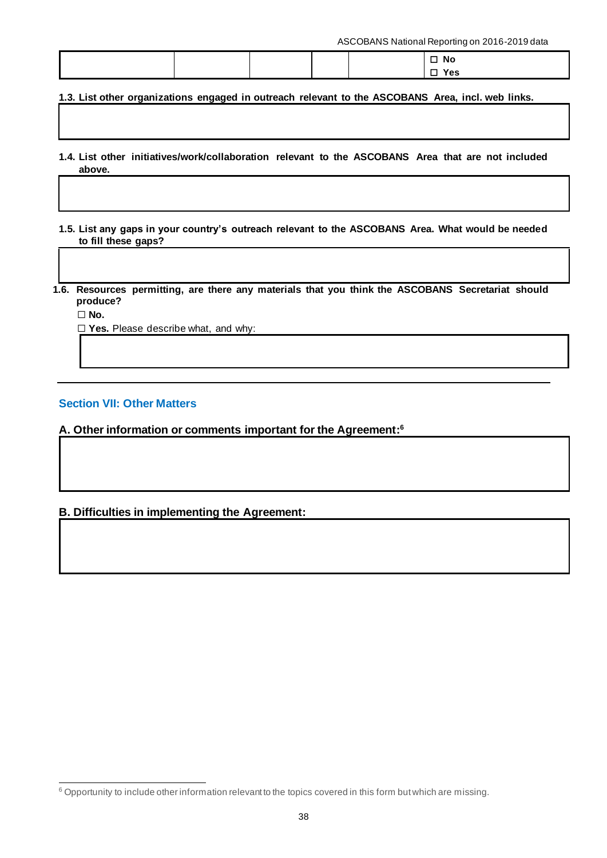ASCOBANS National Reporting on 2016-2019 data

|  |  | $\square$ No  |
|--|--|---------------|
|  |  | Yes<br>$\Box$ |

**1.3. List other organizations engaged in outreach relevant to the ASCOBANS Area, incl. web links.**

- **1.4. List other initiatives/work/collaboration relevant to the ASCOBANS Area that are not included above.**
- **1.5. List any gaps in your country's outreach relevant to the ASCOBANS Area. What would be needed to fill these gaps?**

**1.6. Resources permitting, are there any materials that you think the ASCOBANS Secretariat should produce?** 

☐ **No.**

☐ **Yes.** Please describe what, and why:

# **Section VII: Other Matters**

**A. Other information or comments important for the Agreement: 6**

# **B. Difficulties in implementing the Agreement:**

<sup>6</sup> Opportunity to include other information relevant to the topics covered in this form but which are missing.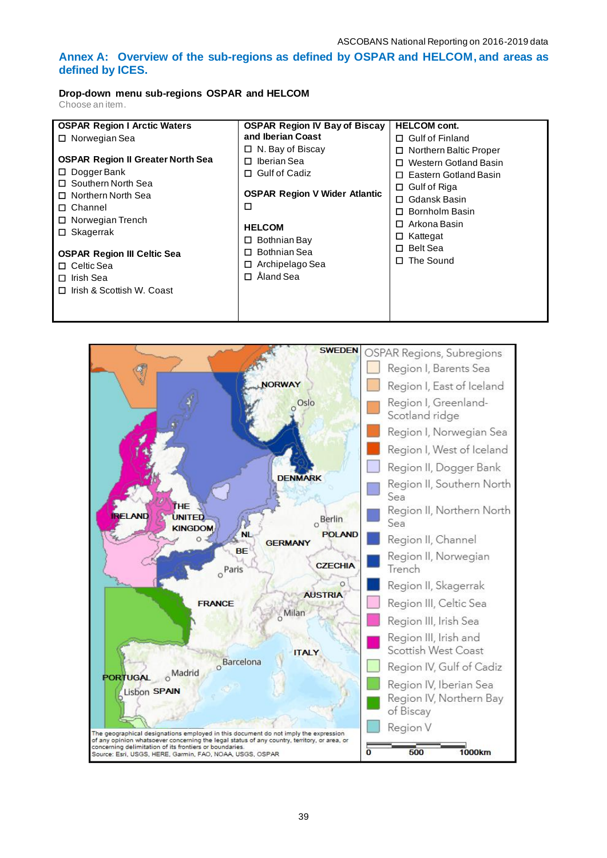# **Annex A: Overview of the sub-regions as defined by OSPAR and HELCOM, and areas as defined by ICES.**

# **Drop-down menu sub-regions OSPAR and HELCOM**

Choose an item.

| <b>OSPAR Region I Arctic Waters</b>      | <b>OSPAR Region IV Bay of Biscay</b> | <b>HELCOM cont.</b>         |
|------------------------------------------|--------------------------------------|-----------------------------|
| $\Box$ Norwegian Sea                     | and Iberian Coast                    | $\Box$ Gulf of Finland      |
|                                          | $\Box$ N. Bay of Biscay              | Northern Baltic Proper<br>□ |
| <b>OSPAR Region II Greater North Sea</b> | Iberian Sea<br>п                     | Western Gotland Basin       |
| $\Box$ Dogger Bank                       | <b>Gulf of Cadiz</b><br>□            | Eastern Gotland Basin<br>П. |
| □ Southern North Sea                     |                                      | $\Box$ Gulf of Riga         |
| □ Northern North Sea                     | <b>OSPAR Region V Wider Atlantic</b> | Gdansk Basin<br>n.          |
| □ Channel                                | □                                    | Bornholm Basin<br>n.        |
| $\Box$ Norwegian Trench                  |                                      | Arkona Basin<br>□           |
| $\Box$ Skagerrak                         | <b>HELCOM</b>                        | Kattegat<br>□               |
|                                          | $\Box$ Bothnian Bay                  | <b>Belt Sea</b><br>$\Box$   |
| <b>OSPAR Region III Celtic Sea</b>       | Bothnian Sea<br>п                    | The Sound<br>$\Box$         |
| $\Box$ Celtic Sea                        | $\Box$ Archipelago Sea               |                             |
| Irish Sea<br>0                           | Åland Sea<br>П                       |                             |
| $\Box$ Irish & Scottish W. Coast         |                                      |                             |
|                                          |                                      |                             |
|                                          |                                      |                             |

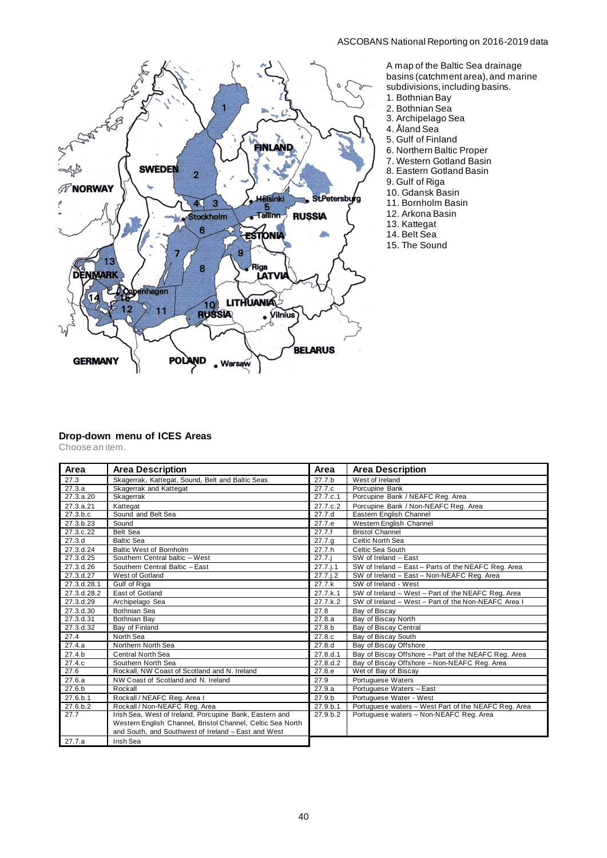## ASCOBANS National Reporting on 2016-2019 data



A map of the Baltic Sea drainage basins (catchment area), and marine

- subdivisions, including basins.
- 1. Bothnian Bay
- 2. Bothnian Sea
- 3. Archipelago Sea
- 4. Åland Sea
- 5. Gulf of Finland
- 6. Northern Baltic Proper
- 7. Western Gotland Basin
- 8. Eastern Gotland Basin
- 9. Gulf of Riga
- 10. Gdansk Basin
- 11. Bornholm Basin
- 12. Arkona Basin
- 13. Kattegat
- 14. Belt Sea
- 15. The Sound

#### **Drop-down menu of ICES Areas**

Choose an item.

| Area        | <b>Area Description</b>                                    | Area              | <b>Area Description</b>                              |
|-------------|------------------------------------------------------------|-------------------|------------------------------------------------------|
| 27.3        | Skagerrak, Kattegat, Sound, Belt and Baltic Seas           | 27.7 <sub>b</sub> | West of Ireland                                      |
| 27.3.a      | Skagerrak and Kattegat                                     | 27.7.c            | Porcupine Bank                                       |
| 27.3.a.20   | Skagerrak                                                  | 27.7.c.1          | Porcupine Bank / NEAFC Reg. Area                     |
| 27.3.a.21   | Kattegat                                                   | 27.7.c.2          | Porcupine Bank / Non-NEAFC Reg. Area                 |
| 27.3.b.c    | Sound and Belt Sea                                         | 27.7.d            | Eastern English Channel                              |
| 27.3.b.23   | Sound                                                      | 27.7.e            | Western English Channel                              |
| 27.3.c.22   | Belt Sea                                                   | 27.7.f            | <b>Bristol Channel</b>                               |
| 27.3.d      | <b>Baltic Sea</b>                                          | 27.7.9            | Celtic North Sea                                     |
| 27.3.d.24   | <b>Baltic West of Bornholm</b>                             | 27.7.h            | Celtic Sea South                                     |
| 27.3.d.25   | Southern Central baltic - West                             | 27.7.i            | SW of Ireland - East                                 |
| 27.3.d.26   | Southern Central Baltic - East                             | 27.7 i.1          | SW of Ireland - East - Parts of the NEAFC Reg. Area  |
| 27.3.d.27   | West of Gotland                                            | 27.7 i.2          | SW of Ireland - East - Non-NEAFC Reg. Area           |
| 27.3.d.28.1 | Gulf of Riga                                               | 27.7k             | SW of Ireland - West                                 |
| 27.3.d.28.2 | East of Gotland                                            | 27.7.k.1          | SW of Ireland - West - Part of the NEAFC Reg. Area   |
| 27.3.d.29   | Archipelago Sea                                            | 27.7.k.2          | SW of Ireland - West - Part of the Non-NEAFC Area I  |
| 27.3.d.30   | Bothnian Sea                                               | 27.8              | Bay of Biscay                                        |
| 27.3.d.31   | Bothnian Bay                                               | 27.8.a            | Bay of Biscay North                                  |
| 27.3.d.32   | Bay of Finland                                             | 27.8.b            | Bay of Biscay Central                                |
| 27.4        | North Sea                                                  | 27.8.c            | Bay of Biscay South                                  |
| 27.4.a      | Northern North Sea                                         | 27.8.d            | Bay of Biscay Offshore                               |
| 27.4.b      | Central North Sea                                          | 27.8.d.1          | Bay of Biscay Offshore - Part of the NEAFC Reg. Area |
| 27.4.c      | Southern North Sea                                         | 27.8.d.2          | Bay of Biscay Offshore - Non-NEAFC Reg. Area         |
| 27.6        | Rockall, NW Coast of Scotland and N. Ireland               | 27.8.e            | Wet of Bay of Biscay                                 |
| 27.6.a      | NW Coast of Scotland and N. Ireland                        | 27.9              | Portuguese Waters                                    |
| 27.6.b      | Rockall                                                    | 27.9.a            | Portuguese Waters - East                             |
| 27.6.b.1    | Rockall / NEAFC Reg. Area I                                | 27.9.b            | Portuguese Water - West                              |
| 27.6.b.2    | Rockall / Non-NEAFC Reg. Area                              | 27.9 b.1          | Portuguese waters - West Part of the NEAFC Reg. Area |
| 27.7        | Irish Sea, West of Ireland, Porcupine Bank, Eastern and    | 27.9 b.2          | Portuguese waters - Non-NEAFC Reg. Area              |
|             | Western English Channel, Bristol Channel, Celtic Sea North |                   |                                                      |
|             | and South, and Southwest of Ireland - East and West        |                   |                                                      |
| 27.7.a      | Irish Sea                                                  |                   |                                                      |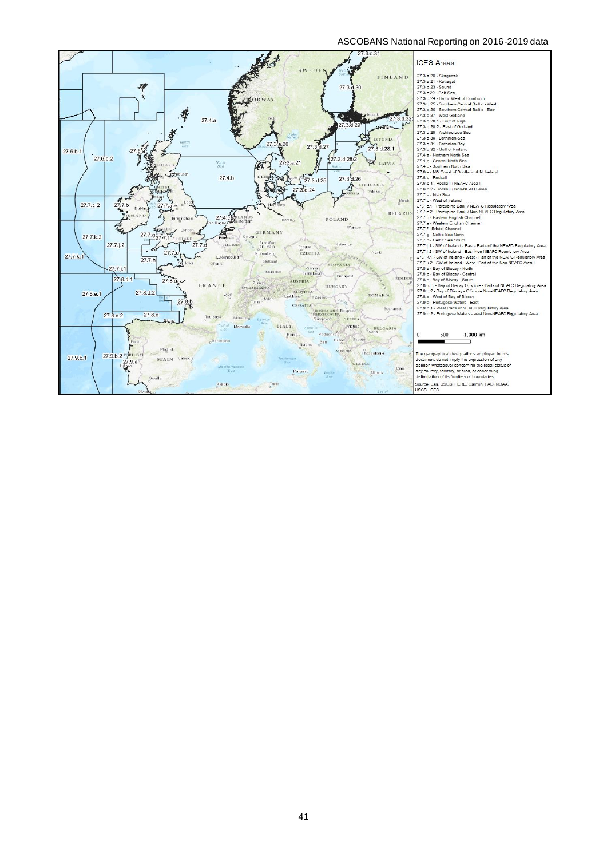# ASCOBANS National Reporting on 2016-2019 data